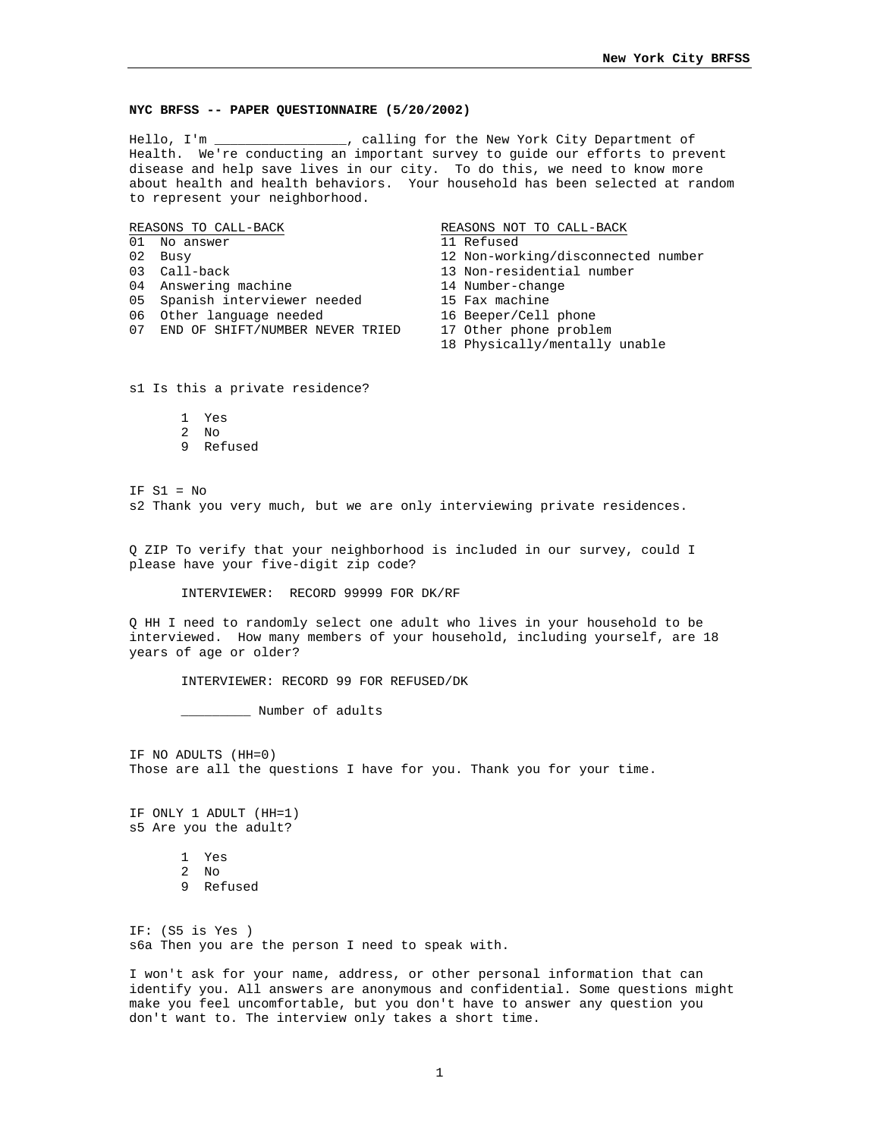### **NYC BRFSS -- PAPER QUESTIONNAIRE (5/20/2002)**

Hello, I'm \_\_\_\_\_\_\_\_\_\_\_\_\_\_\_\_\_, calling for the New York City Department of Health. We're conducting an important survey to guide our efforts to prevent disease and help save lives in our city. To do this, we need to know more about health and health behaviors. Your household has been selected at random to represent your neighborhood.

- 01 No answer 11 Refused 12 Non-worldwide 12 Non-worldwide 12 Non-worldwide 12 Non-worldwide 12 Non-worldwide 1
- 
- 
- 
- 04 Answering machine 14 Number-changer<br>05 Spanish interviewer needed 15 Fax machine 05 Spanish interviewer needed 15 Fax machine<br>06 Other language needed 16 Beeper/Cell phone
- 06 Other language needed
- 07 END OF SHIFT/NUMBER NEVER TRIED 17 Other phone problem

REASONS TO CALL-BACK REASONS NOT TO CALL-BACK

- 
- 02 Busy 12 Non-working/disconnected number<br>03 Call-back 13 Non-residential number
	- 13 Non-residential number<br>14 Number-change
	-
	-
	-
	-
	- 18 Physically/mentally unable

s1 Is this a private residence?

- 1 Yes
- 2 No
- 9 Refused

 $IF SI = No$ s2 Thank you very much, but we are only interviewing private residences.

Q ZIP To verify that your neighborhood is included in our survey, could I please have your five-digit zip code?

INTERVIEWER: RECORD 99999 FOR DK/RF

Q HH I need to randomly select one adult who lives in your household to be interviewed. How many members of your household, including yourself, are 18 years of age or older?

INTERVIEWER: RECORD 99 FOR REFUSED/DK

\_\_\_\_\_\_\_\_\_ Number of adults

IF NO ADULTS (HH=0) Those are all the questions I have for you. Thank you for your time.

IF ONLY 1 ADULT (HH=1) s5 Are you the adult?

> 1 Yes 2 No 9 Refused

IF: (S5 is Yes ) s6a Then you are the person I need to speak with.

I won't ask for your name, address, or other personal information that can identify you. All answers are anonymous and confidential. Some questions might make you feel uncomfortable, but you don't have to answer any question you don't want to. The interview only takes a short time.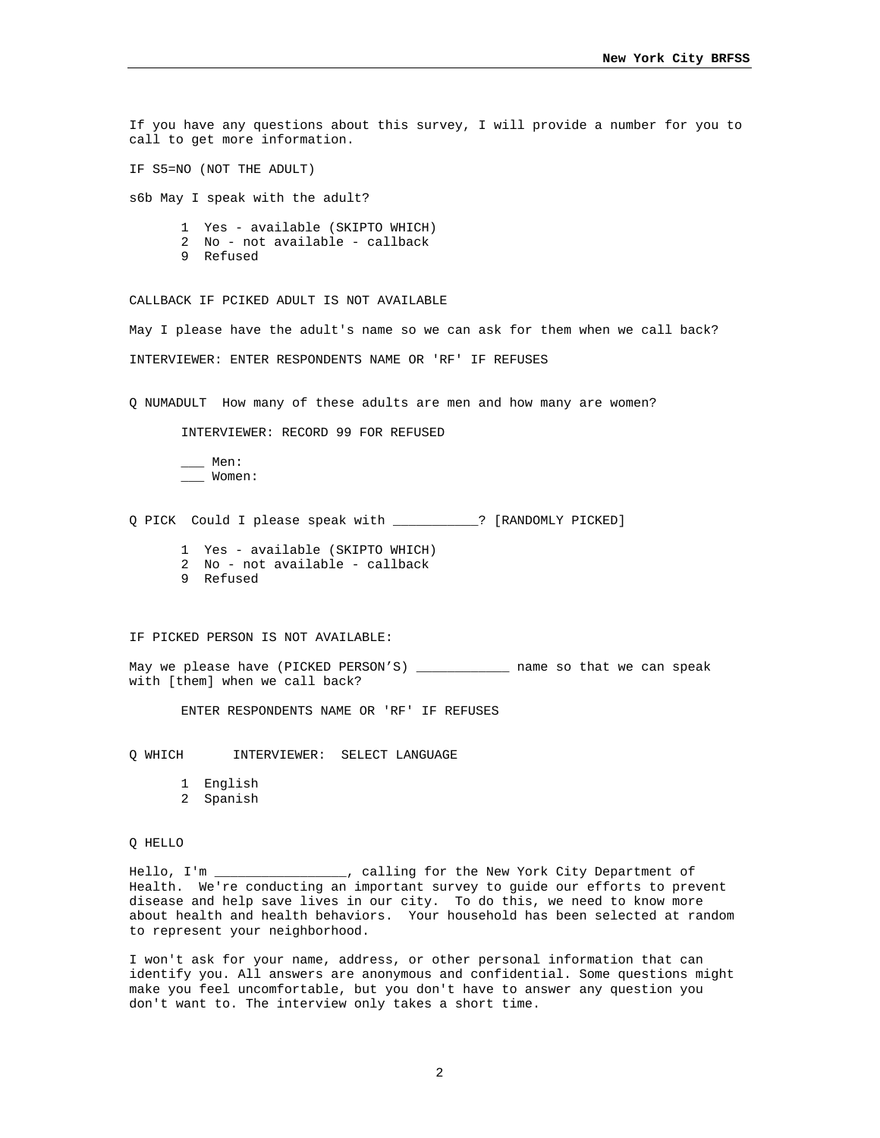If you have any questions about this survey, I will provide a number for you to call to get more information.

IF S5=NO (NOT THE ADULT)

s6b May I speak with the adult?

1 Yes - available (SKIPTO WHICH)

- 2 No not available callback
- 9 Refused

CALLBACK IF PCIKED ADULT IS NOT AVAILABLE

May I please have the adult's name so we can ask for them when we call back? INTERVIEWER: ENTER RESPONDENTS NAME OR 'RF' IF REFUSES

Q NUMADULT How many of these adults are men and how many are women?

INTERVIEWER: RECORD 99 FOR REFUSED

\_\_\_ Men: \_\_\_ Women:

Q PICK Could I please speak with \_\_\_\_\_\_\_\_\_\_\_? [RANDOMLY PICKED]

- 1 Yes available (SKIPTO WHICH)
- 2 No not available callback
- 9 Refused

IF PICKED PERSON IS NOT AVAILABLE:

May we please have (PICKED PERSON'S) \_\_\_\_\_\_\_\_\_\_\_\_\_\_ name so that we can speak with [them] when we call back?

ENTER RESPONDENTS NAME OR 'RF' IF REFUSES

Q WHICH INTERVIEWER: SELECT LANGUAGE

- 1 English
- 2 Spanish

#### Q HELLO

Hello, I'm \_\_\_\_\_\_\_\_\_\_\_\_\_\_\_\_, calling for the New York City Department of Health. We're conducting an important survey to guide our efforts to prevent disease and help save lives in our city. To do this, we need to know more about health and health behaviors. Your household has been selected at random to represent your neighborhood.

I won't ask for your name, address, or other personal information that can identify you. All answers are anonymous and confidential. Some questions might make you feel uncomfortable, but you don't have to answer any question you don't want to. The interview only takes a short time.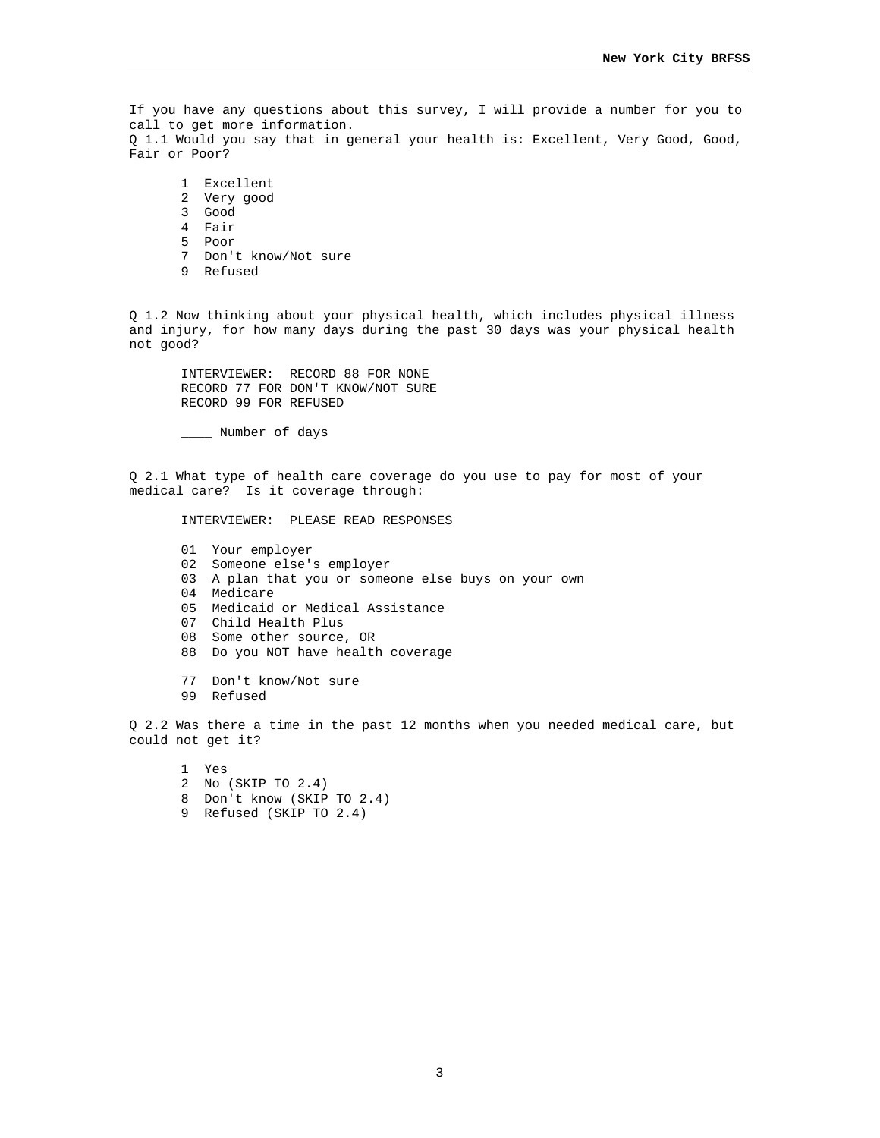If you have any questions about this survey, I will provide a number for you to call to get more information. Q 1.1 Would you say that in general your health is: Excellent, Very Good, Good, Fair or Poor?

- 1 Excellent
- 2 Very good
- 3 Good
- 4 Fair
- 5 Poor
- 7 Don't know/Not sure
- 9 Refused

Q 1.2 Now thinking about your physical health, which includes physical illness and injury, for how many days during the past 30 days was your physical health not good?

INTERVIEWER: RECORD 88 FOR NONE RECORD 77 FOR DON'T KNOW/NOT SURE RECORD 99 FOR REFUSED

\_\_\_\_ Number of days

Q 2.1 What type of health care coverage do you use to pay for most of your medical care? Is it coverage through:

INTERVIEWER: PLEASE READ RESPONSES

- 01 Your employer 02 Someone else's employer 03 A plan that you or someone else buys on your own 04 Medicare 05 Medicaid or Medical Assistance<br>07 Child Health Plus 07 Child Health Plus 08 Some other source, OR 88 Do you NOT have health coverage 77 Don't know/Not sure
- 99 Refused

Q 2.2 Was there a time in the past 12 months when you needed medical care, but could not get it?

1 Yes 2 No (SKIP TO 2.4) 8 Don't know (SKIP TO 2.4) 9 Refused (SKIP TO 2.4)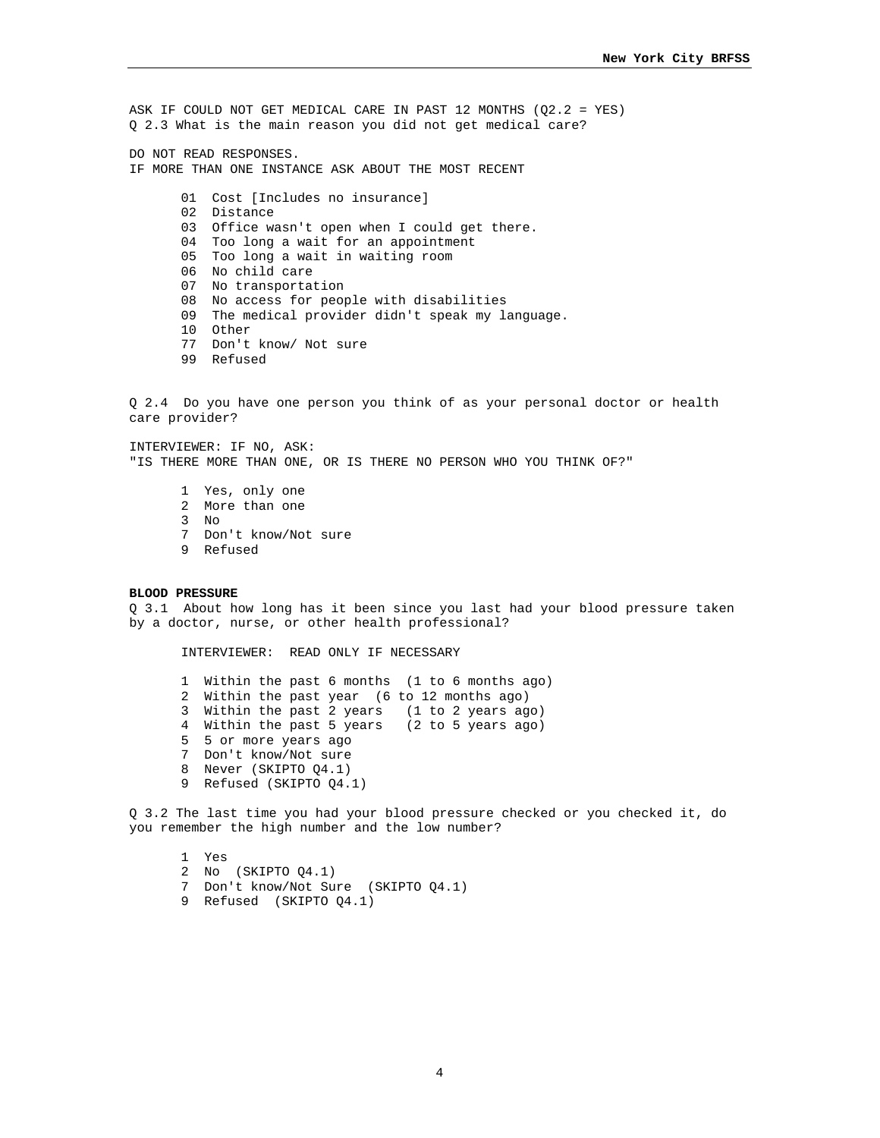ASK IF COULD NOT GET MEDICAL CARE IN PAST 12 MONTHS (Q2.2 = YES) Q 2.3 What is the main reason you did not get medical care? DO NOT READ RESPONSES. IF MORE THAN ONE INSTANCE ASK ABOUT THE MOST RECENT 01 Cost [Includes no insurance] 02 Distance 03 Office wasn't open when I could get there. 04 Too long a wait for an appointment 05 Too long a wait in waiting room 06 No child care 07 No transportation 08 No access for people with disabilities 09 The medical provider didn't speak my language. 10 Other 77 Don't know/ Not sure 99 Refused

Q 2.4 Do you have one person you think of as your personal doctor or health care provider?

INTERVIEWER: IF NO, ASK: "IS THERE MORE THAN ONE, OR IS THERE NO PERSON WHO YOU THINK OF?"

1 Yes, only one 2 More than one 3 No 7 Don't know/Not sure 9 Refused

## **BLOOD PRESSURE**

Q 3.1 About how long has it been since you last had your blood pressure taken by a doctor, nurse, or other health professional?

INTERVIEWER: READ ONLY IF NECESSARY

1 Within the past 6 months (1 to 6 months ago) 2 Within the past year (6 to 12 months ago) 3 Within the past 2 years (1 to 2 years ago) 4 Within the past 5 years (2 to 5 years ago) 5 5 or more years ago 7 Don't know/Not sure 8 Never (SKIPTO Q4.1) 9 Refused (SKIPTO Q4.1)

Q 3.2 The last time you had your blood pressure checked or you checked it, do you remember the high number and the low number?

1 Yes 2 No (SKIPTO Q4.1) 7 Don't know/Not Sure (SKIPTO Q4.1) 9 Refused (SKIPTO Q4.1)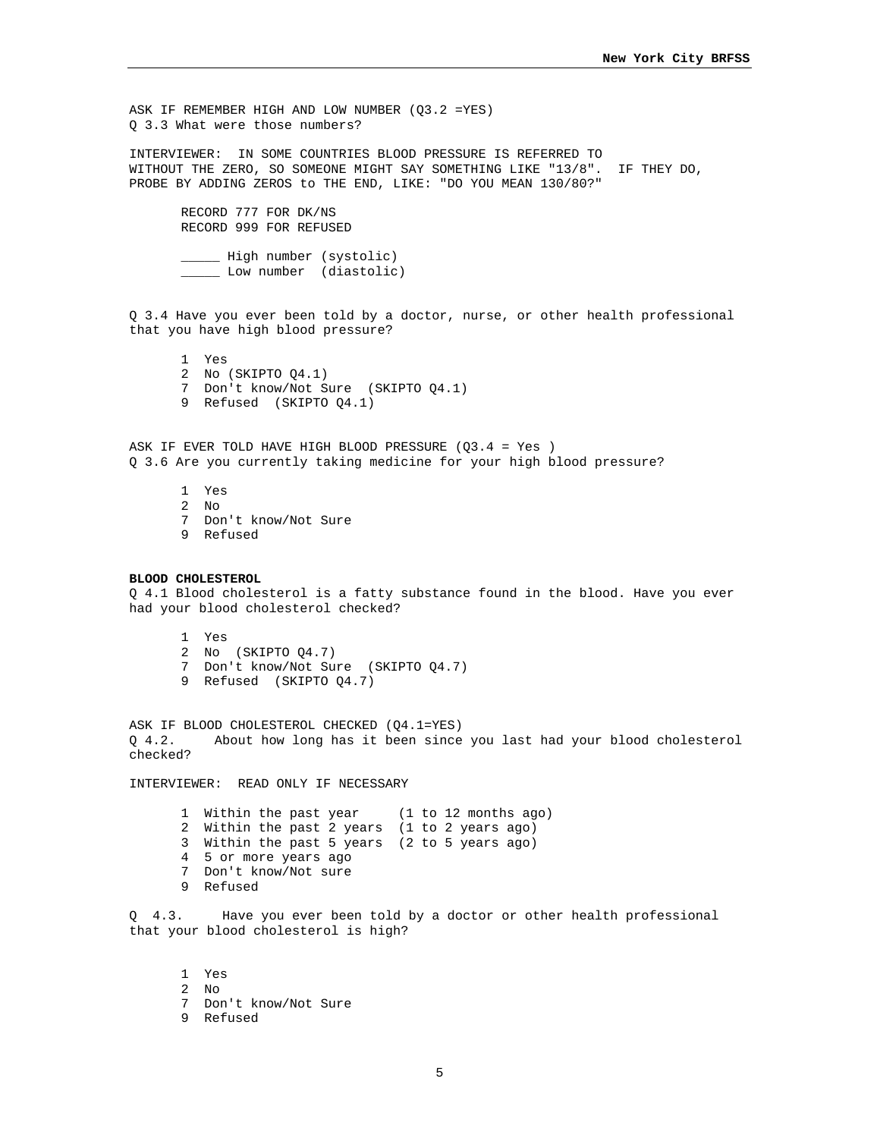ASK IF REMEMBER HIGH AND LOW NUMBER (Q3.2 =YES) Q 3.3 What were those numbers? INTERVIEWER: IN SOME COUNTRIES BLOOD PRESSURE IS REFERRED TO WITHOUT THE ZERO, SO SOMEONE MIGHT SAY SOMETHING LIKE "13/8". IF THEY DO, PROBE BY ADDING ZEROS to THE END, LIKE: "DO YOU MEAN 130/80?" RECORD 777 FOR DK/NS RECORD 999 FOR REFUSED \_\_\_\_\_ High number (systolic) \_\_\_\_\_ Low number (diastolic)

Q 3.4 Have you ever been told by a doctor, nurse, or other health professional that you have high blood pressure?

1 Yes 2 No (SKIPTO Q4.1) 7 Don't know/Not Sure (SKIPTO Q4.1) 9 Refused (SKIPTO Q4.1)

ASK IF EVER TOLD HAVE HIGH BLOOD PRESSURE (Q3.4 = Yes ) Q 3.6 Are you currently taking medicine for your high blood pressure?

- 1 Yes
- 2 No
- 7 Don't know/Not Sure
- 9 Refused

## **BLOOD CHOLESTEROL**

Q 4.1 Blood cholesterol is a fatty substance found in the blood. Have you ever had your blood cholesterol checked?

1 Yes 2 No (SKIPTO Q4.7) 7 Don't know/Not Sure (SKIPTO Q4.7) 9 Refused (SKIPTO Q4.7)

ASK IF BLOOD CHOLESTEROL CHECKED (Q4.1=YES) Q 4.2. About how long has it been since you last had your blood cholesterol checked?

INTERVIEWER: READ ONLY IF NECESSARY

1 Within the past year (1 to 12 months ago) 2 Within the past 2 years (1 to 2 years ago) 3 Within the past 5 years (2 to 5 years ago) 4 5 or more years ago 7 Don't know/Not sure 9 Refused

Q 4.3. Have you ever been told by a doctor or other health professional that your blood cholesterol is high?

1 Yes 2 No 7 Don't know/Not Sure 9 Refused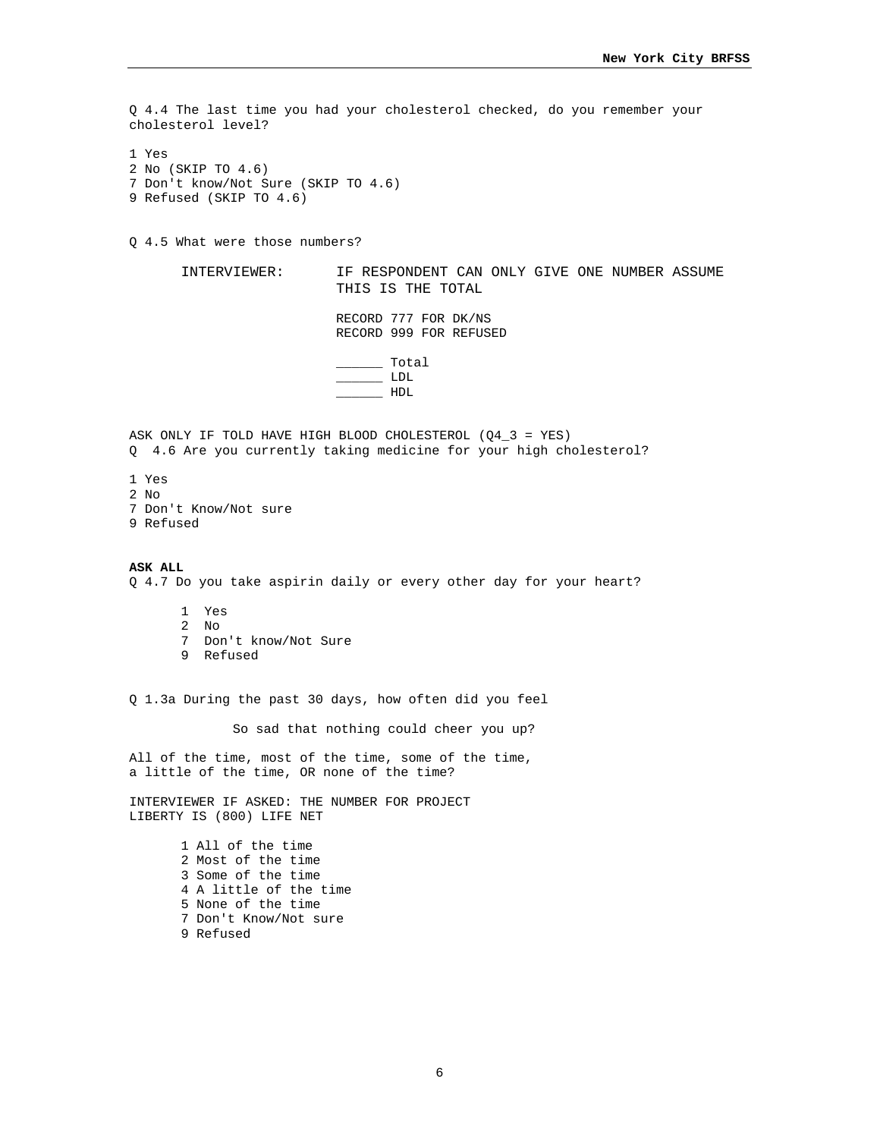Q 4.4 The last time you had your cholesterol checked, do you remember your cholesterol level?

1 Yes 2 No (SKIP TO 4.6) 7 Don't know/Not Sure (SKIP TO 4.6) 9 Refused (SKIP TO 4.6)

Q 4.5 What were those numbers?

INTERVIEWER: IF RESPONDENT CAN ONLY GIVE ONE NUMBER ASSUME THIS IS THE TOTAL

> RECORD 777 FOR DK/NS RECORD 999 FOR REFUSED

 \_\_\_\_\_\_ Total  $\overline{\phantom{a}}$  LDL  $\_$  HDL

ASK ONLY IF TOLD HAVE HIGH BLOOD CHOLESTEROL (Q4\_3 = YES) Q 4.6 Are you currently taking medicine for your high cholesterol?

- 1 Yes
- 2 No
- 7 Don't Know/Not sure
- 9 Refused

**ASK ALL** 

Q 4.7 Do you take aspirin daily or every other day for your heart?

- 1 Yes
	- 2 No
	- 7 Don't know/Not Sure
	- 9 Refused
	-

Q 1.3a During the past 30 days, how often did you feel

So sad that nothing could cheer you up?

All of the time, most of the time, some of the time, a little of the time, OR none of the time?

INTERVIEWER IF ASKED: THE NUMBER FOR PROJECT LIBERTY IS (800) LIFE NET

> 1 All of the time 2 Most of the time 3 Some of the time 4 A little of the time 5 None of the time 7 Don't Know/Not sure 9 Refused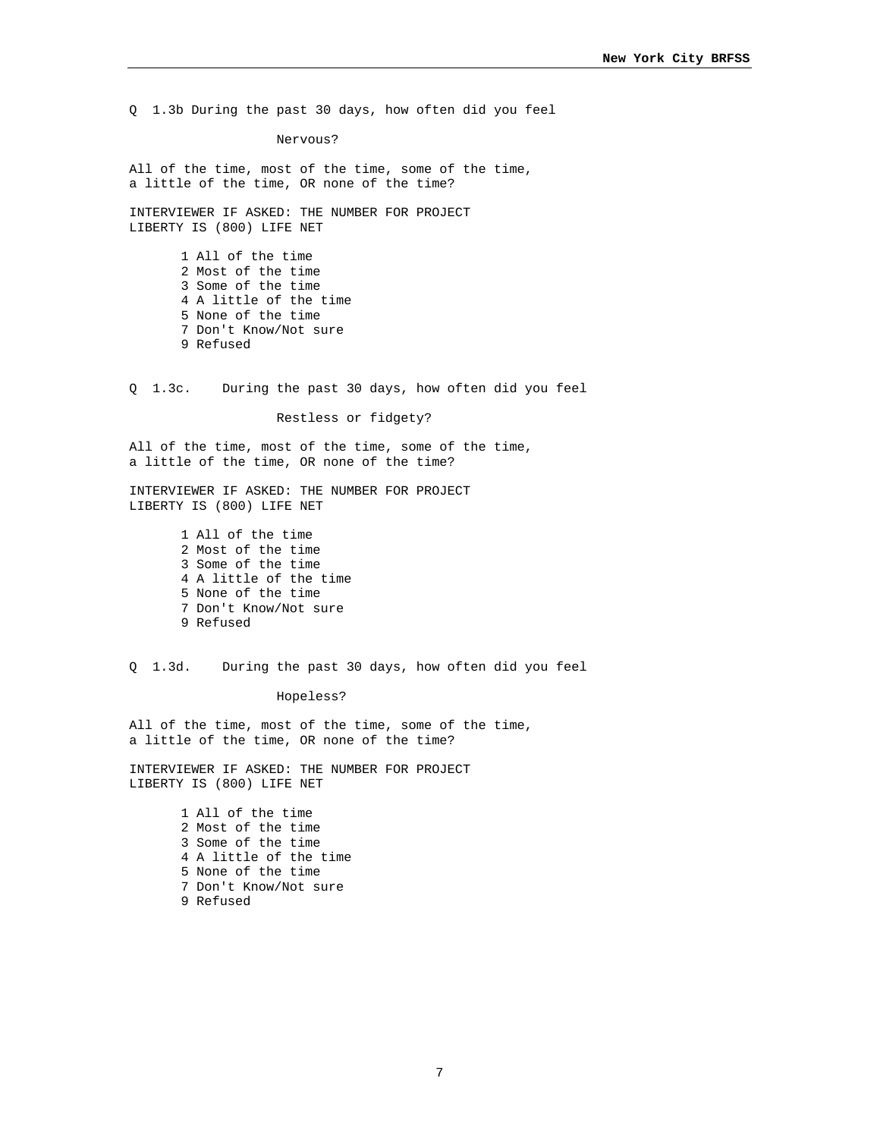Q 1.3b During the past 30 days, how often did you feel

Nervous?

All of the time, most of the time, some of the time, a little of the time, OR none of the time?

INTERVIEWER IF ASKED: THE NUMBER FOR PROJECT LIBERTY IS (800) LIFE NET

> 1 All of the time 2 Most of the time 3 Some of the time 4 A little of the time 5 None of the time 7 Don't Know/Not sure 9 Refused

Q 1.3c. During the past 30 days, how often did you feel

## Restless or fidgety?

All of the time, most of the time, some of the time, a little of the time, OR none of the time?

INTERVIEWER IF ASKED: THE NUMBER FOR PROJECT LIBERTY IS (800) LIFE NET

> 1 All of the time 2 Most of the time 3 Some of the time 4 A little of the time 5 None of the time 7 Don't Know/Not sure 9 Refused

Q 1.3d. During the past 30 days, how often did you feel

#### Hopeless?

All of the time, most of the time, some of the time, a little of the time, OR none of the time?

INTERVIEWER IF ASKED: THE NUMBER FOR PROJECT LIBERTY IS (800) LIFE NET

> 1 All of the time 2 Most of the time 3 Some of the time 4 A little of the time 5 None of the time 7 Don't Know/Not sure 9 Refused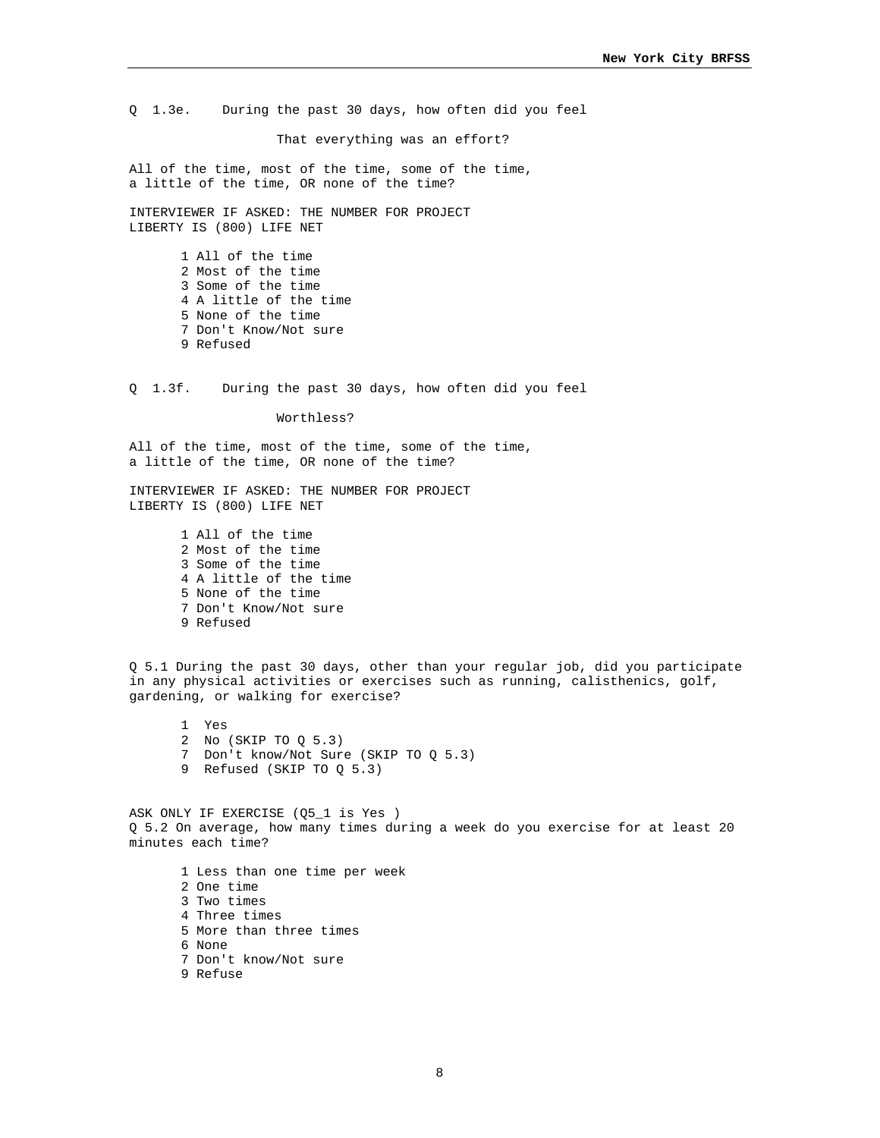Q 1.3e. During the past 30 days, how often did you feel

That everything was an effort?

All of the time, most of the time, some of the time, a little of the time, OR none of the time?

INTERVIEWER IF ASKED: THE NUMBER FOR PROJECT LIBERTY IS (800) LIFE NET

> 1 All of the time 2 Most of the time 3 Some of the time 4 A little of the time 5 None of the time 7 Don't Know/Not sure 9 Refused

Q 1.3f. During the past 30 days, how often did you feel

Worthless?

All of the time, most of the time, some of the time, a little of the time, OR none of the time?

INTERVIEWER IF ASKED: THE NUMBER FOR PROJECT LIBERTY IS (800) LIFE NET

> 1 All of the time 2 Most of the time 3 Some of the time 4 A little of the time 5 None of the time 7 Don't Know/Not sure 9 Refused

Q 5.1 During the past 30 days, other than your regular job, did you participate in any physical activities or exercises such as running, calisthenics, golf, gardening, or walking for exercise?

1 Yes 2 No (SKIP TO Q 5.3) 7 Don't know/Not Sure (SKIP TO Q 5.3) 9 Refused (SKIP TO Q 5.3)

ASK ONLY IF EXERCISE (Q5\_1 is Yes ) Q 5.2 On average, how many times during a week do you exercise for at least 20 minutes each time?

1 Less than one time per week 2 One time 3 Two times 4 Three times 5 More than three times 6 None 7 Don't know/Not sure 9 Refuse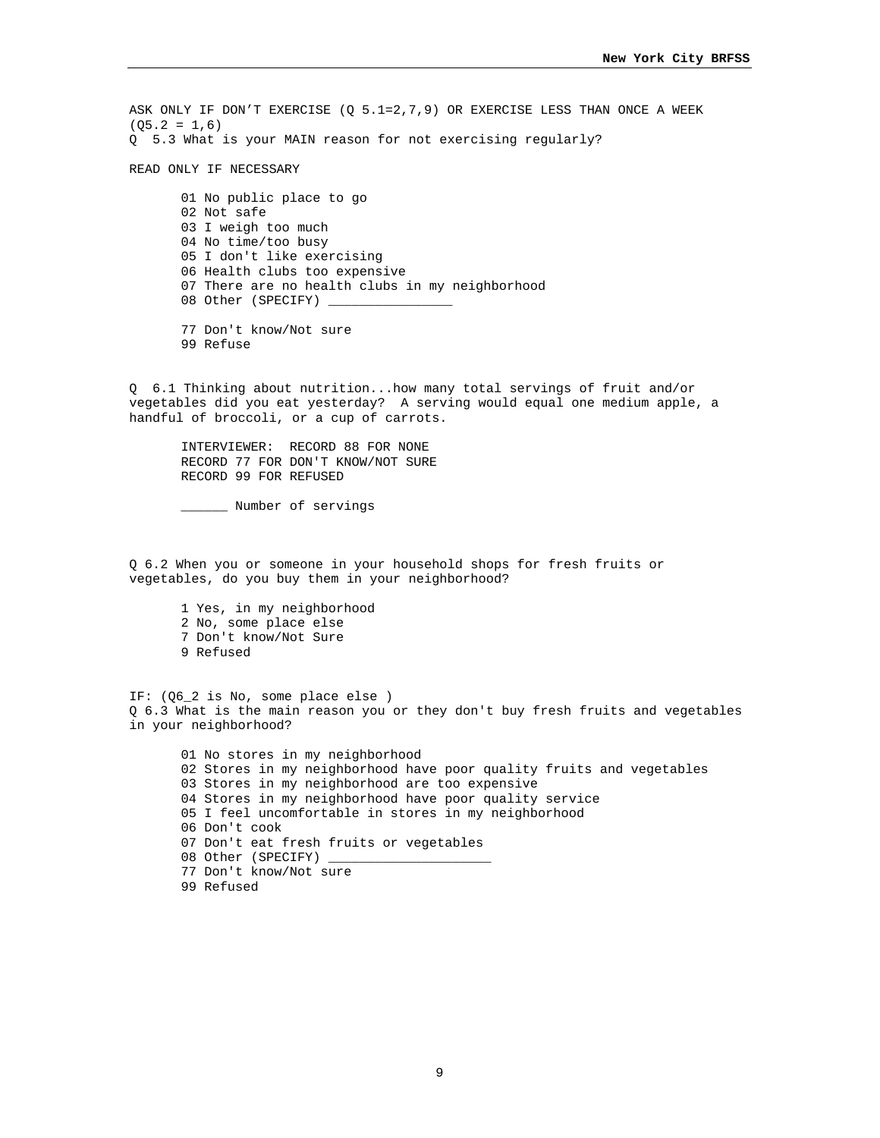ASK ONLY IF DON'T EXERCISE (Q 5.1=2,7,9) OR EXERCISE LESS THAN ONCE A WEEK  $(Q5.2 = 1, 6)$ Q 5.3 What is your MAIN reason for not exercising regularly? READ ONLY IF NECESSARY 01 No public place to go 02 Not safe 03 I weigh too much 04 No time/too busy 05 I don't like exercising 06 Health clubs too expensive 07 There are no health clubs in my neighborhood 08 Other (SPECIFY) \_ 77 Don't know/Not sure 99 Refuse

Q 6.1 Thinking about nutrition...how many total servings of fruit and/or vegetables did you eat yesterday? A serving would equal one medium apple, a handful of broccoli, or a cup of carrots.

INTERVIEWER: RECORD 88 FOR NONE RECORD 77 FOR DON'T KNOW/NOT SURE RECORD 99 FOR REFUSED

\_\_\_\_\_\_ Number of servings

Q 6.2 When you or someone in your household shops for fresh fruits or vegetables, do you buy them in your neighborhood?

1 Yes, in my neighborhood 2 No, some place else 7 Don't know/Not Sure 9 Refused

IF: (Q6\_2 is No, some place else ) Q 6.3 What is the main reason you or they don't buy fresh fruits and vegetables in your neighborhood?

01 No stores in my neighborhood 02 Stores in my neighborhood have poor quality fruits and vegetables 03 Stores in my neighborhood are too expensive 04 Stores in my neighborhood have poor quality service 05 I feel uncomfortable in stores in my neighborhood 06 Don't cook 07 Don't eat fresh fruits or vegetables 08 Other (SPECIFY) \_ 77 Don't know/Not sure 99 Refused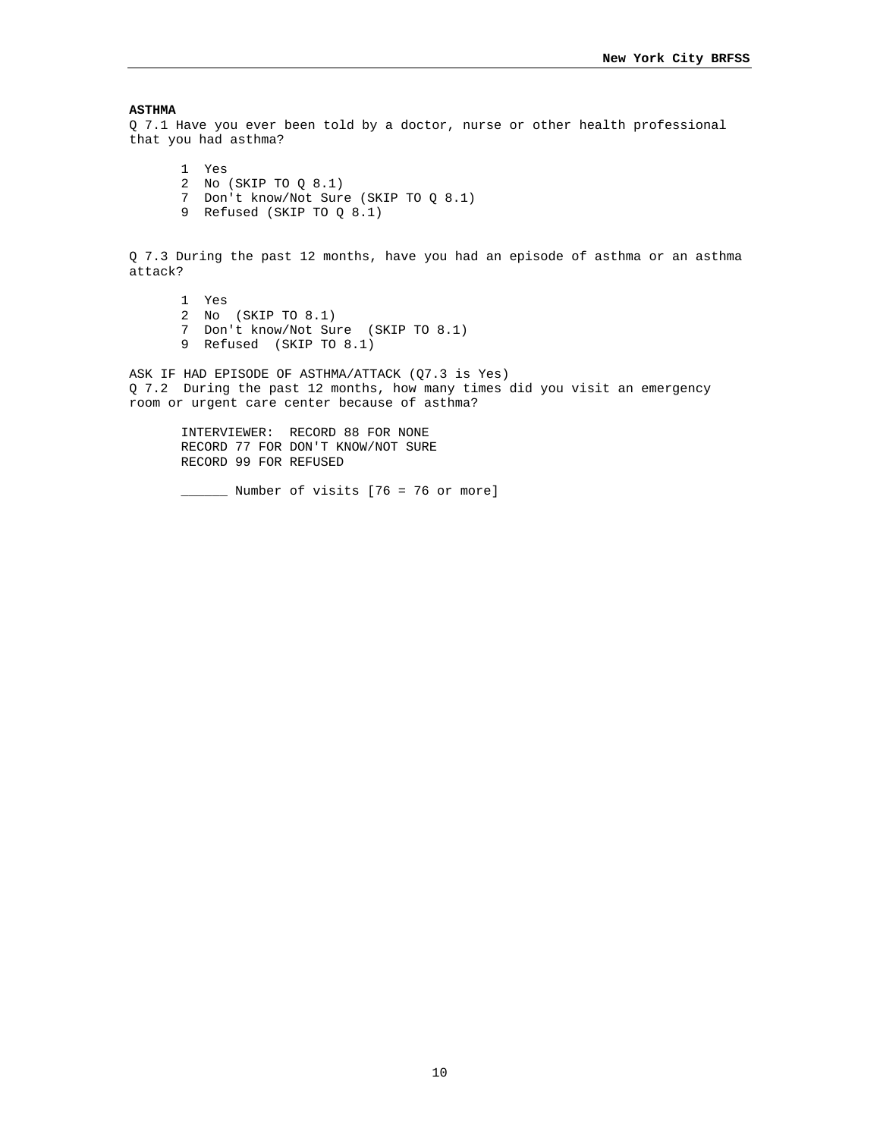## **ASTHMA**

Q 7.1 Have you ever been told by a doctor, nurse or other health professional that you had asthma?

1 Yes 2 No (SKIP TO Q 8.1) 7 Don't know/Not Sure (SKIP TO Q 8.1) 9 Refused (SKIP TO Q 8.1)

Q 7.3 During the past 12 months, have you had an episode of asthma or an asthma attack?

1 Yes 2 No (SKIP TO 8.1) 7 Don't know/Not Sure (SKIP TO 8.1) 9 Refused (SKIP TO 8.1) ASK IF HAD EPISODE OF ASTHMA/ATTACK (Q7.3 is Yes) Q 7.2 During the past 12 months, how many times did you visit an emergency room or urgent care center because of asthma?

INTERVIEWER: RECORD 88 FOR NONE RECORD 77 FOR DON'T KNOW/NOT SURE RECORD 99 FOR REFUSED

\_\_\_\_\_\_ Number of visits [76 = 76 or more]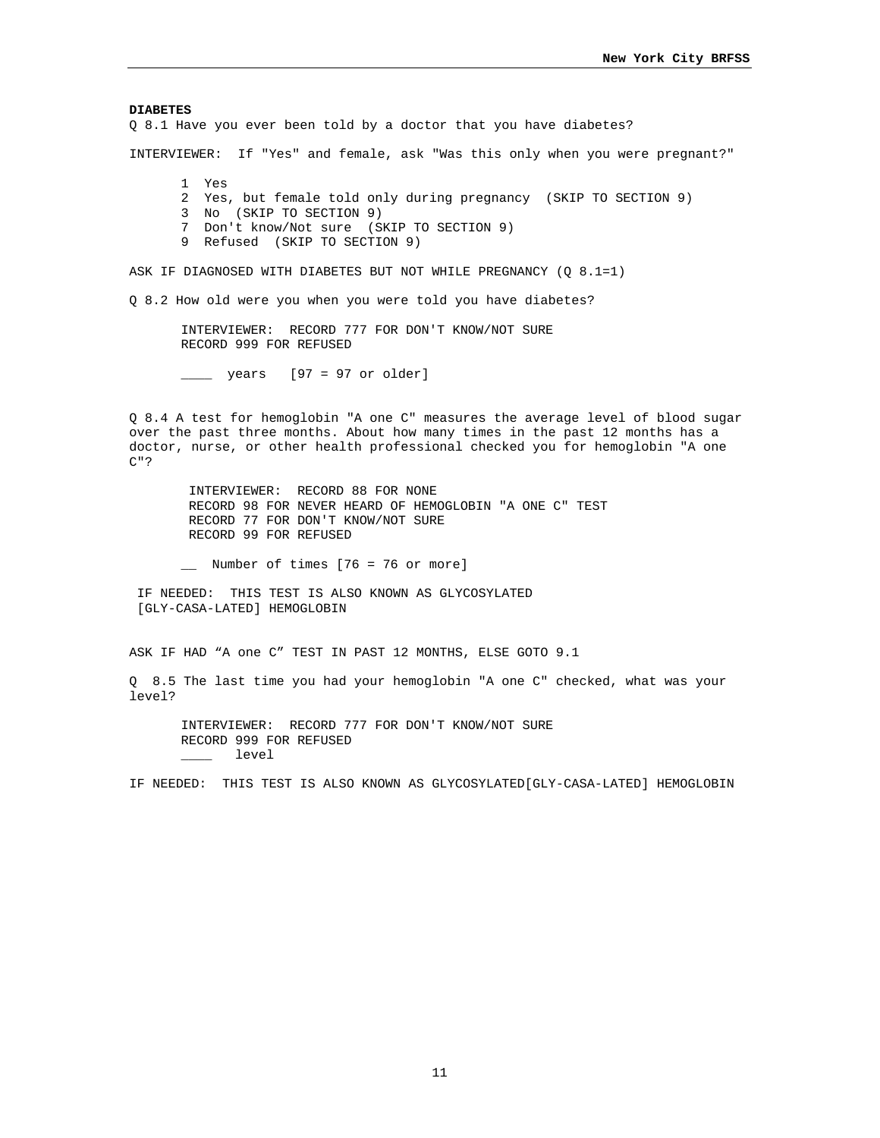**DIABETES**  Q 8.1 Have you ever been told by a doctor that you have diabetes? INTERVIEWER: If "Yes" and female, ask "Was this only when you were pregnant?" 1 Yes 2 Yes, but female told only during pregnancy (SKIP TO SECTION 9) 3 No (SKIP TO SECTION 9) 7 Don't know/Not sure (SKIP TO SECTION 9) 9 Refused (SKIP TO SECTION 9) ASK IF DIAGNOSED WITH DIABETES BUT NOT WHILE PREGNANCY (Q 8.1=1) Q 8.2 How old were you when you were told you have diabetes? INTERVIEWER: RECORD 777 FOR DON'T KNOW/NOT SURE RECORD 999 FOR REFUSED \_\_\_\_ years [97 = 97 or older] Q 8.4 A test for hemoglobin "A one C" measures the average level of blood sugar over the past three months. About how many times in the past 12 months has a doctor, nurse, or other health professional checked you for hemoglobin "A one C"? INTERVIEWER: RECORD 88 FOR NONE RECORD 98 FOR NEVER HEARD OF HEMOGLOBIN "A ONE C" TEST RECORD 77 FOR DON'T KNOW/NOT SURE RECORD 99 FOR REFUSED \_\_ Number of times [76 = 76 or more] IF NEEDED: THIS TEST IS ALSO KNOWN AS GLYCOSYLATED [GLY-CASA-LATED] HEMOGLOBIN ASK IF HAD "A one C" TEST IN PAST 12 MONTHS, ELSE GOTO 9.1 Q 8.5 The last time you had your hemoglobin "A one C" checked, what was your level? INTERVIEWER: RECORD 777 FOR DON'T KNOW/NOT SURE RECORD 999 FOR REFUSED \_\_\_\_ level IF NEEDED: THIS TEST IS ALSO KNOWN AS GLYCOSYLATED[GLY-CASA-LATED] HEMOGLOBIN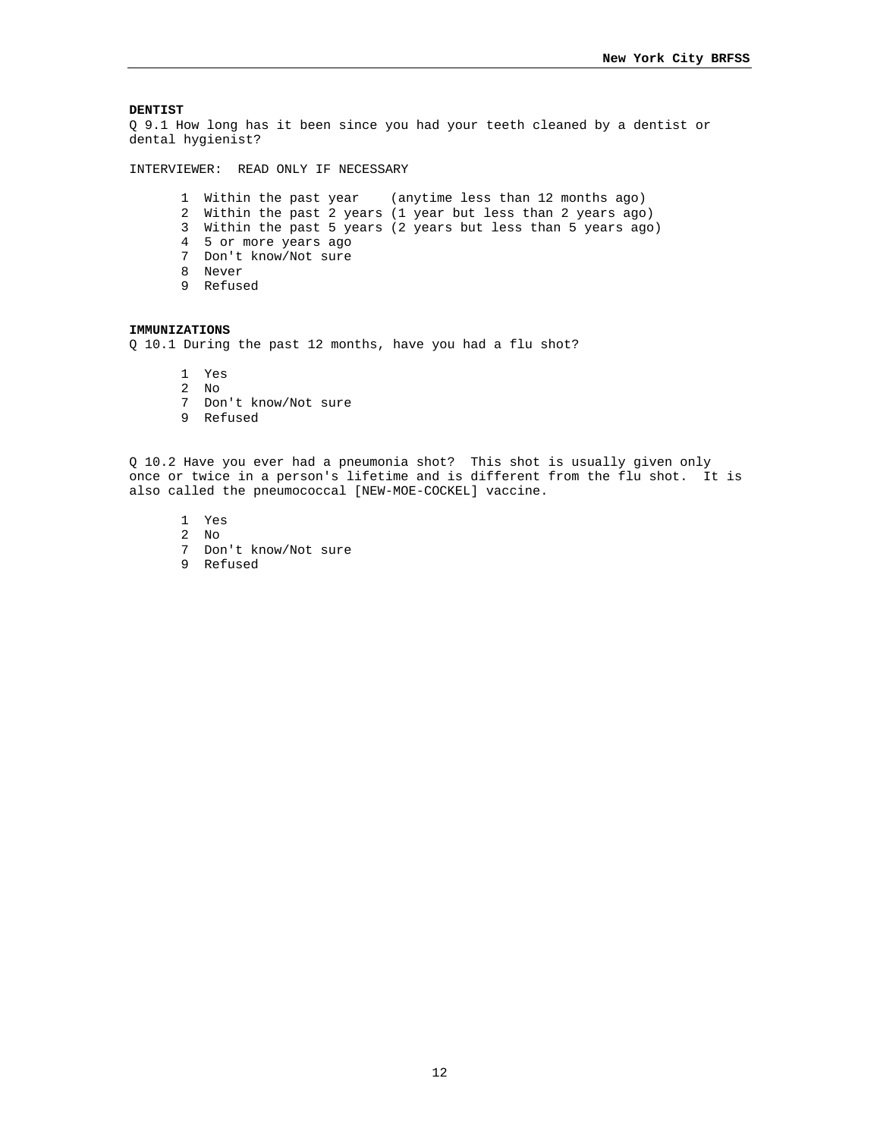## **DENTIST**

Q 9.1 How long has it been since you had your teeth cleaned by a dentist or dental hygienist?

INTERVIEWER: READ ONLY IF NECESSARY

1 Within the past year (anytime less than 12 months ago) 2 Within the past 2 years (1 year but less than 2 years ago) 3 Within the past 5 years (2 years but less than 5 years ago) 4 5 or more years ago 7 Don't know/Not sure 8 Never 9 Refused

### **IMMUNIZATIONS**

Q 10.1 During the past 12 months, have you had a flu shot?

- 1 Yes
- 2 No
- 7 Don't know/Not sure
- 9 Refused

Q 10.2 Have you ever had a pneumonia shot? This shot is usually given only once or twice in a person's lifetime and is different from the flu shot. It is also called the pneumococcal [NEW-MOE-COCKEL] vaccine.

- 1 Yes
- 2 No
- 7 Don't know/Not sure
- 9 Refused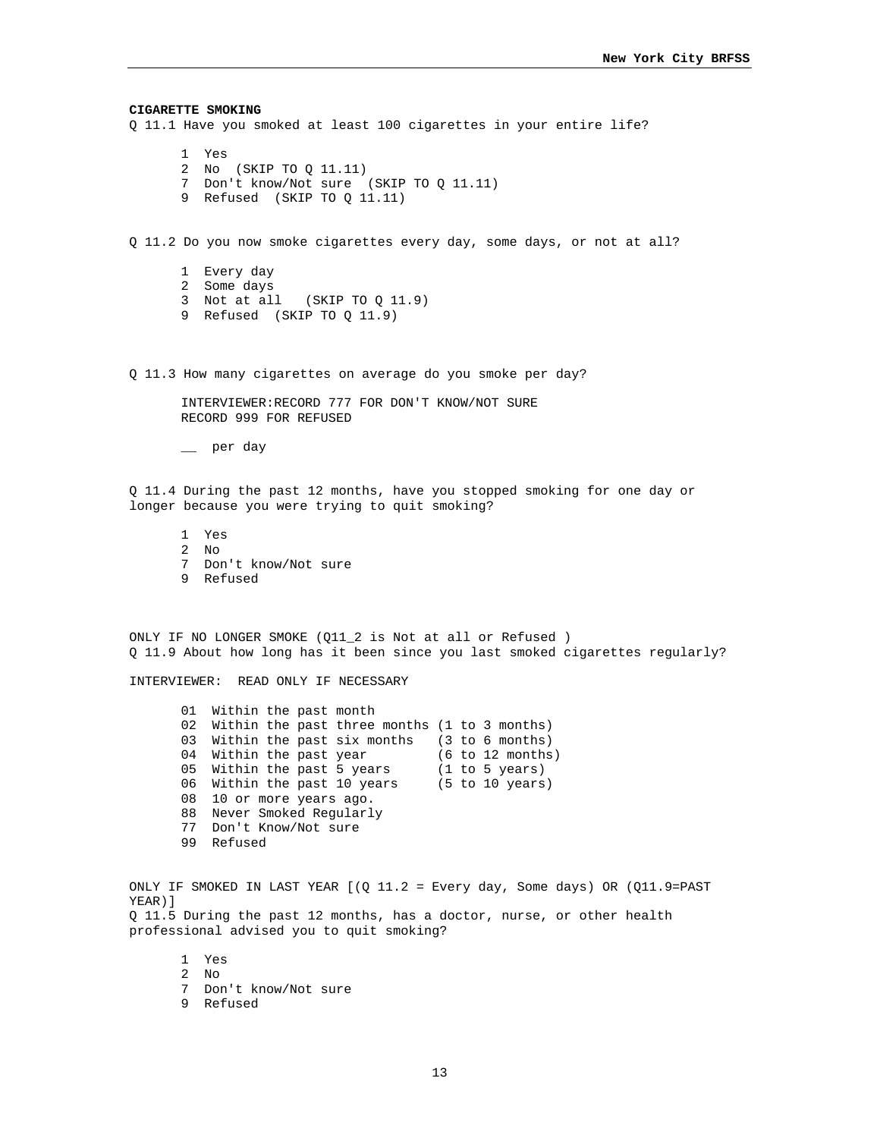**CIGARETTE SMOKING**  Q 11.1 Have you smoked at least 100 cigarettes in your entire life? 1 Yes 2 No (SKIP TO Q 11.11) 7 Don't know/Not sure (SKIP TO Q 11.11) 9 Refused (SKIP TO Q 11.11) Q 11.2 Do you now smoke cigarettes every day, some days, or not at all? 1 Every day 2 Some days<br>3 Not at all  $(SKIP TO Q 11.9)$ 9 Refused (SKIP TO Q 11.9) Q 11.3 How many cigarettes on average do you smoke per day? INTERVIEWER:RECORD 777 FOR DON'T KNOW/NOT SURE RECORD 999 FOR REFUSED \_\_ per day Q 11.4 During the past 12 months, have you stopped smoking for one day or longer because you were trying to quit smoking? 1 Yes 2 No 7 Don't know/Not sure 9 Refused ONLY IF NO LONGER SMOKE (Q11\_2 is Not at all or Refused ) Q 11.9 About how long has it been since you last smoked cigarettes regularly? INTERVIEWER: READ ONLY IF NECESSARY 01 Within the past month 02 Within the past three months (1 to 3 months) 03 Within the past six months (3 to 6 months) 04 Within the past year (6 to 12 months) 05 Within the past 5 years (1 to 5 years) 06 Within the past 10 years (5 to 10 years) 08 10 or more years ago. 88 Never Smoked Regularly 77 Don't Know/Not sure 99 Refused ONLY IF SMOKED IN LAST YEAR  $[(Q 11.2 = Every day, Some days)$  OR  $(Q11.9 = PAST)$ YEAR)] Q 11.5 During the past 12 months, has a doctor, nurse, or other health professional advised you to quit smoking? 1 Yes

2 No 7 Don't know/Not sure 9 Refused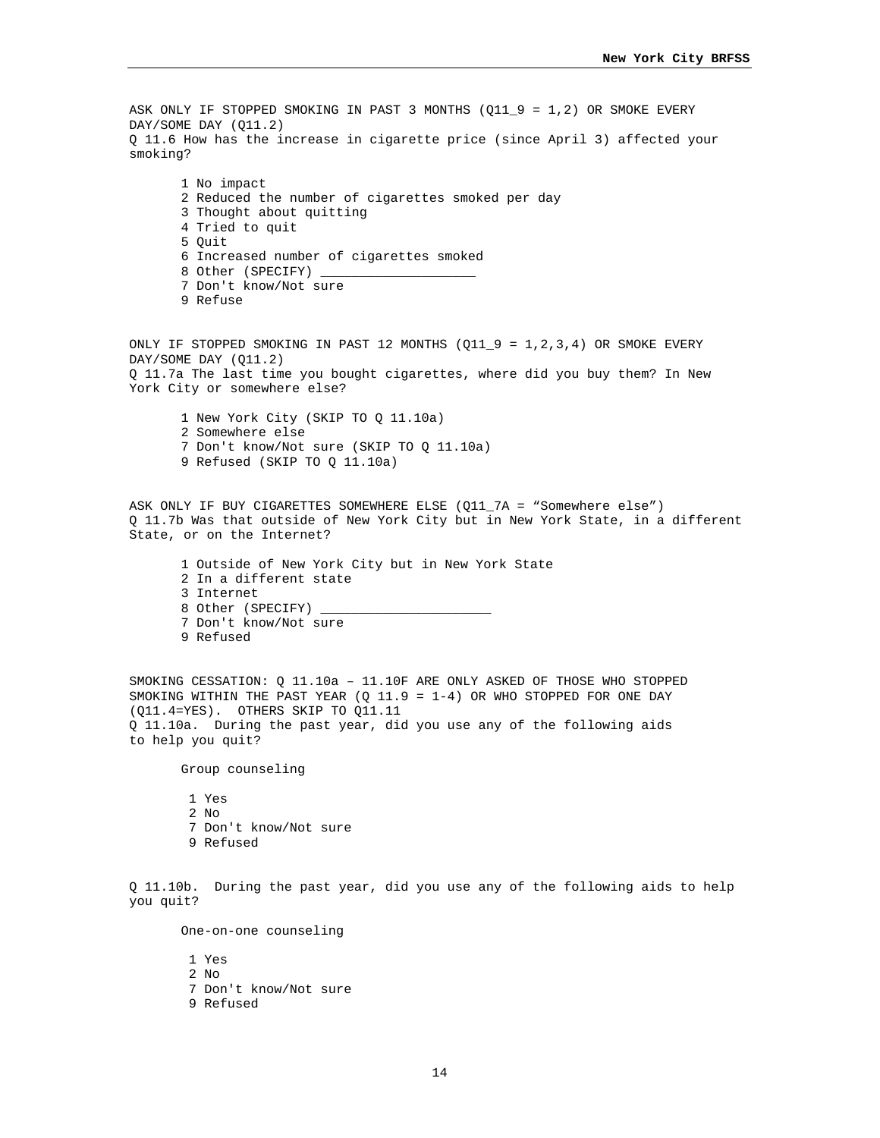ASK ONLY IF STOPPED SMOKING IN PAST 3 MONTHS (Q11\_9 = 1,2) OR SMOKE EVERY DAY/SOME DAY (Q11.2) Q 11.6 How has the increase in cigarette price (since April 3) affected your smoking? 1 No impact 2 Reduced the number of cigarettes smoked per day 3 Thought about quitting 4 Tried to quit 5 Quit 6 Increased number of cigarettes smoked 8 Other (SPECIFY) 7 Don't know/Not sure 9 Refuse ONLY IF STOPPED SMOKING IN PAST 12 MONTHS (Q11\_9 = 1,2,3,4) OR SMOKE EVERY DAY/SOME DAY (Q11.2) Q 11.7a The last time you bought cigarettes, where did you buy them? In New York City or somewhere else? 1 New York City (SKIP TO Q 11.10a) 2 Somewhere else 7 Don't know/Not sure (SKIP TO Q 11.10a) 9 Refused (SKIP TO Q 11.10a) ASK ONLY IF BUY CIGARETTES SOMEWHERE ELSE (Q11\_7A = "Somewhere else") Q 11.7b Was that outside of New York City but in New York State, in a different State, or on the Internet? 1 Outside of New York City but in New York State 2 In a different state 3 Internet 8 Other (SPECIFY) 7 Don't know/Not sure 9 Refused SMOKING CESSATION: Q 11.10a – 11.10F ARE ONLY ASKED OF THOSE WHO STOPPED SMOKING WITHIN THE PAST YEAR (Q 11.9 = 1-4) OR WHO STOPPED FOR ONE DAY (Q11.4=YES). OTHERS SKIP TO Q11.11 Q 11.10a. During the past year, did you use any of the following aids to help you quit? Group counseling 1 Yes 2 No 7 Don't know/Not sure 9 Refused Q 11.10b. During the past year, did you use any of the following aids to help you quit? One-on-one counseling 1 Yes 2 No 7 Don't know/Not sure

9 Refused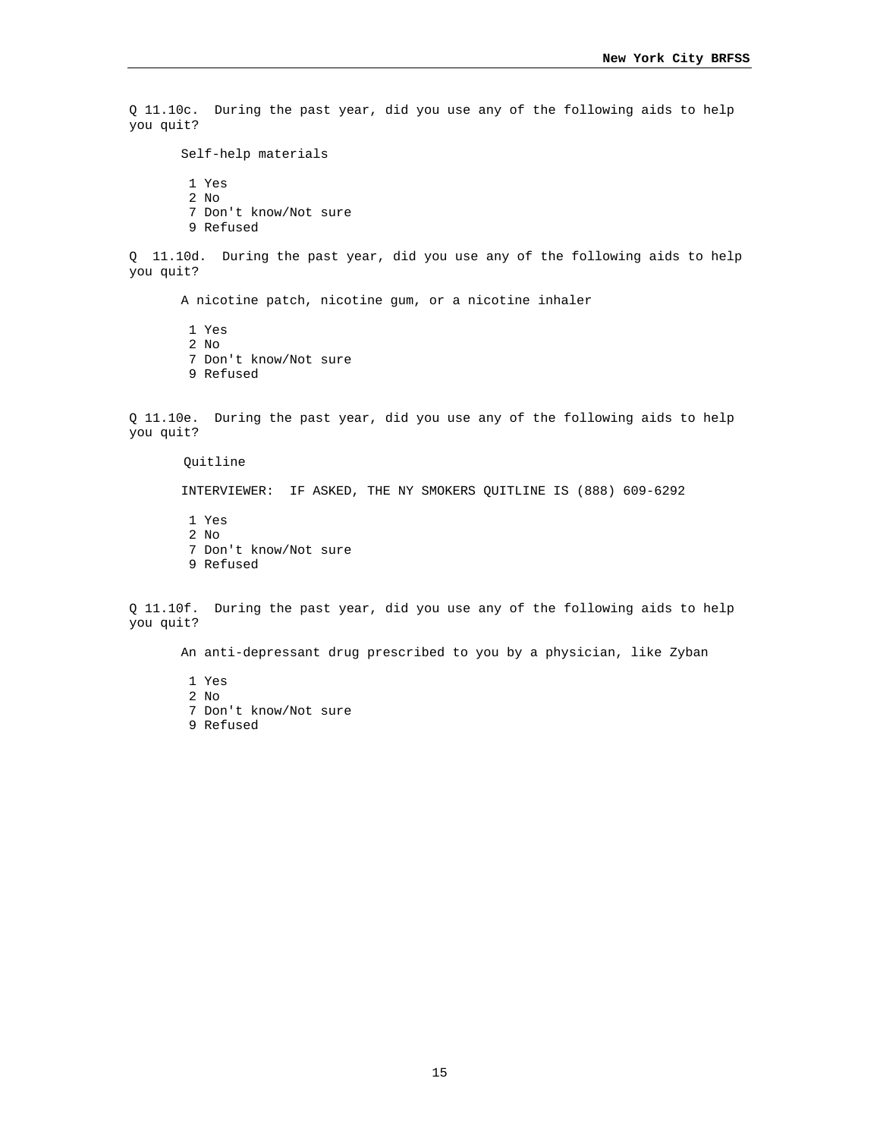Q 11.10c. During the past year, did you use any of the following aids to help you quit?

Self-help materials 1 Yes 2 No 7 Don't know/Not sure 9 Refused

Q 11.10d. During the past year, did you use any of the following aids to help you quit?

A nicotine patch, nicotine gum, or a nicotine inhaler

 1 Yes 2 No 7 Don't know/Not sure 9 Refused

Q 11.10e. During the past year, did you use any of the following aids to help you quit?

 Quitline INTERVIEWER: IF ASKED, THE NY SMOKERS QUITLINE IS (888) 609-6292 1 Yes 2 No 7 Don't know/Not sure 9 Refused

Q 11.10f. During the past year, did you use any of the following aids to help you quit?

An anti-depressant drug prescribed to you by a physician, like Zyban

1 Yes

- 2 No
- 7 Don't know/Not sure
- 9 Refused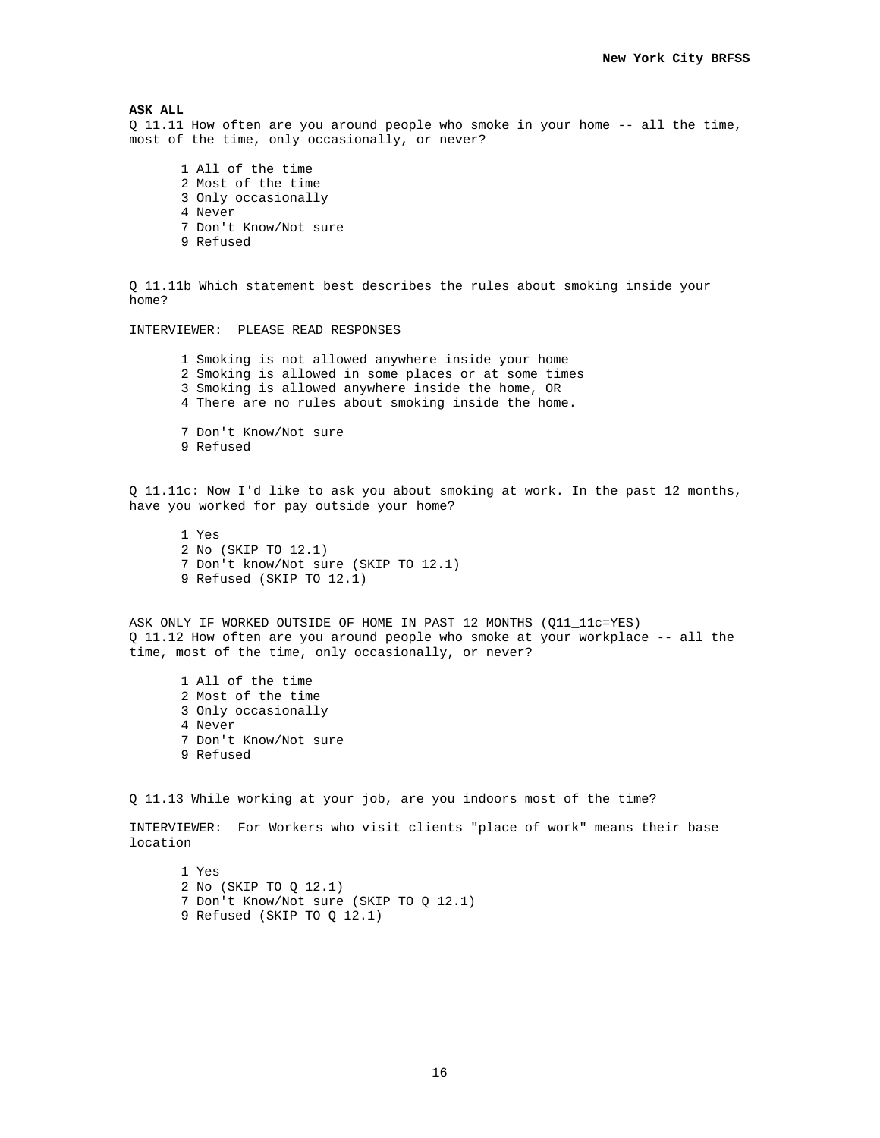**ASK ALL**  Q 11.11 How often are you around people who smoke in your home -- all the time, most of the time, only occasionally, or never?

1 All of the time 2 Most of the time 3 Only occasionally 4 Never 7 Don't Know/Not sure 9 Refused

Q 11.11b Which statement best describes the rules about smoking inside your home?

INTERVIEWER: PLEASE READ RESPONSES

1 Smoking is not allowed anywhere inside your home 2 Smoking is allowed in some places or at some times 3 Smoking is allowed anywhere inside the home, OR 4 There are no rules about smoking inside the home. 7 Don't Know/Not sure 9 Refused

Q 11.11c: Now I'd like to ask you about smoking at work. In the past 12 months, have you worked for pay outside your home?

 1 Yes 2 No (SKIP TO 12.1) 7 Don't know/Not sure (SKIP TO 12.1) 9 Refused (SKIP TO 12.1)

ASK ONLY IF WORKED OUTSIDE OF HOME IN PAST 12 MONTHS (Q11\_11c=YES) Q 11.12 How often are you around people who smoke at your workplace -- all the time, most of the time, only occasionally, or never?

1 All of the time 2 Most of the time 3 Only occasionally 4 Never 7 Don't Know/Not sure 9 Refused

Q 11.13 While working at your job, are you indoors most of the time?

INTERVIEWER: For Workers who visit clients "place of work" means their base location

1 Yes 2 No (SKIP TO Q 12.1) 7 Don't Know/Not sure (SKIP TO Q 12.1) 9 Refused (SKIP TO Q 12.1)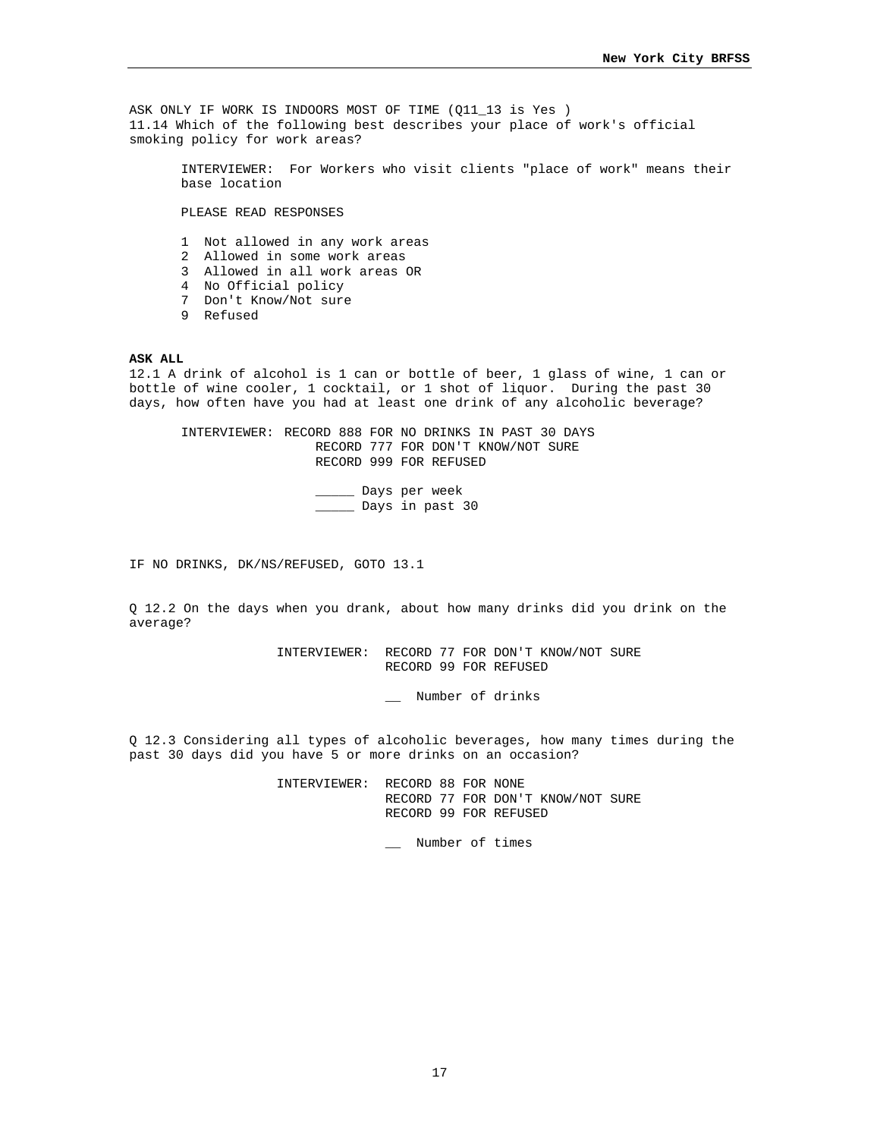ASK ONLY IF WORK IS INDOORS MOST OF TIME (Q11\_13 is Yes ) 11.14 Which of the following best describes your place of work's official smoking policy for work areas?

INTERVIEWER: For Workers who visit clients "place of work" means their base location

PLEASE READ RESPONSES

- 1 Not allowed in any work areas
- 2 Allowed in some work areas
- 3 Allowed in all work areas OR
- 4 No Official policy
- 7 Don't Know/Not sure
- 9 Refused

#### **ASK ALL**

12.1 A drink of alcohol is 1 can or bottle of beer, 1 glass of wine, 1 can or bottle of wine cooler, 1 cocktail, or 1 shot of liquor. During the past 30 days, how often have you had at least one drink of any alcoholic beverage?

INTERVIEWER: RECORD 888 FOR NO DRINKS IN PAST 30 DAYS RECORD 777 FOR DON'T KNOW/NOT SURE RECORD 999 FOR REFUSED

> \_\_\_\_\_ Days per week \_\_\_\_\_ Days in past 30

IF NO DRINKS, DK/NS/REFUSED, GOTO 13.1

Q 12.2 On the days when you drank, about how many drinks did you drink on the average?

> INTERVIEWER: RECORD 77 FOR DON'T KNOW/NOT SURE RECORD 99 FOR REFUSED

> > \_\_ Number of drinks

Q 12.3 Considering all types of alcoholic beverages, how many times during the past 30 days did you have 5 or more drinks on an occasion?

> INTERVIEWER: RECORD 88 FOR NONE RECORD 77 FOR DON'T KNOW/NOT SURE RECORD 99 FOR REFUSED

> > \_\_ Number of times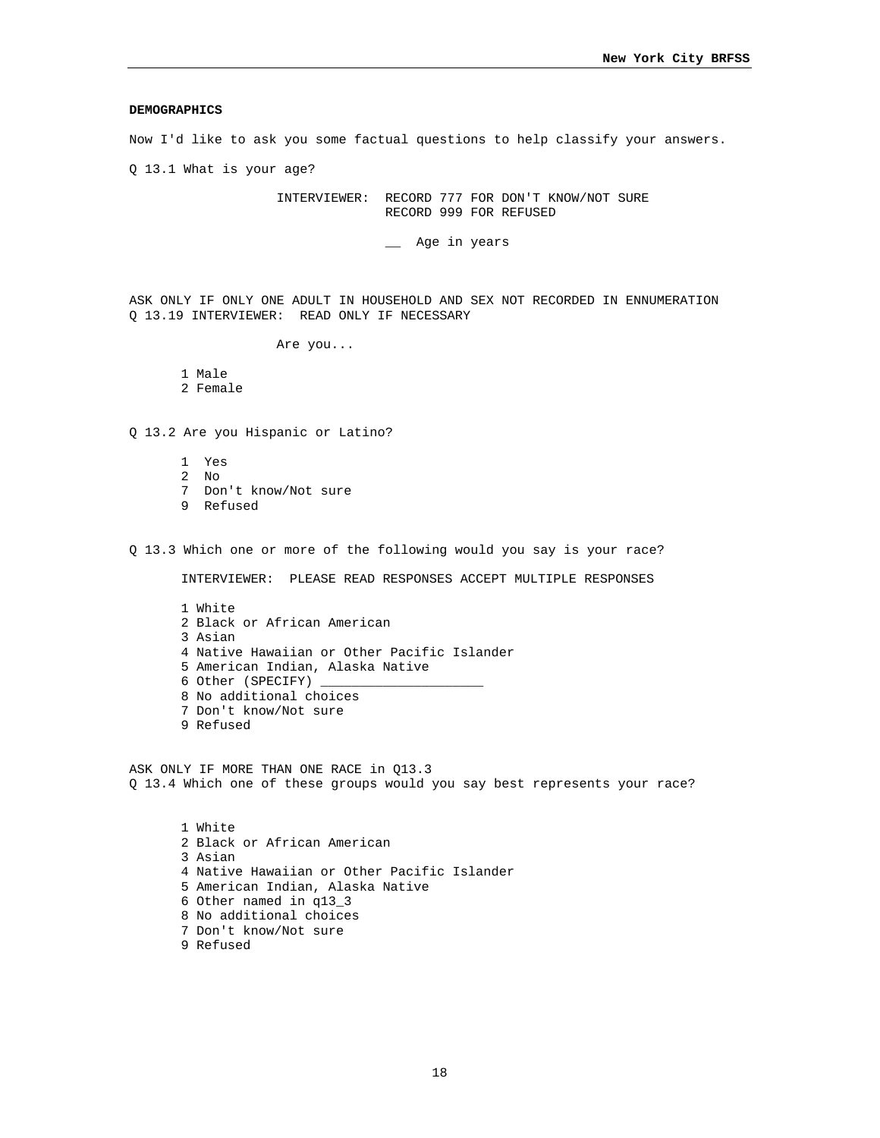### **DEMOGRAPHICS**

Now I'd like to ask you some factual questions to help classify your answers.

Q 13.1 What is your age?

 INTERVIEWER: RECORD 777 FOR DON'T KNOW/NOT SURE RECORD 999 FOR REFUSED

\_\_ Age in years

ASK ONLY IF ONLY ONE ADULT IN HOUSEHOLD AND SEX NOT RECORDED IN ENNUMERATION Q 13.19 INTERVIEWER: READ ONLY IF NECESSARY

Are you...

1 Male

2 Female

Q 13.2 Are you Hispanic or Latino?

- 1 Yes
- 2 No
- 7 Don't know/Not sure
- 9 Refused

Q 13.3 Which one or more of the following would you say is your race?

INTERVIEWER: PLEASE READ RESPONSES ACCEPT MULTIPLE RESPONSES

1 White 2 Black or African American 3 Asian 4 Native Hawaiian or Other Pacific Islander 5 American Indian, Alaska Native 6 Other (SPECIFY) 8 No additional choices 7 Don't know/Not sure 9 Refused

ASK ONLY IF MORE THAN ONE RACE in Q13.3

Q 13.4 Which one of these groups would you say best represents your race?

1 White 2 Black or African American 3 Asian 4 Native Hawaiian or Other Pacific Islander 5 American Indian, Alaska Native 6 Other named in q13\_3 8 No additional choices 7 Don't know/Not sure 9 Refused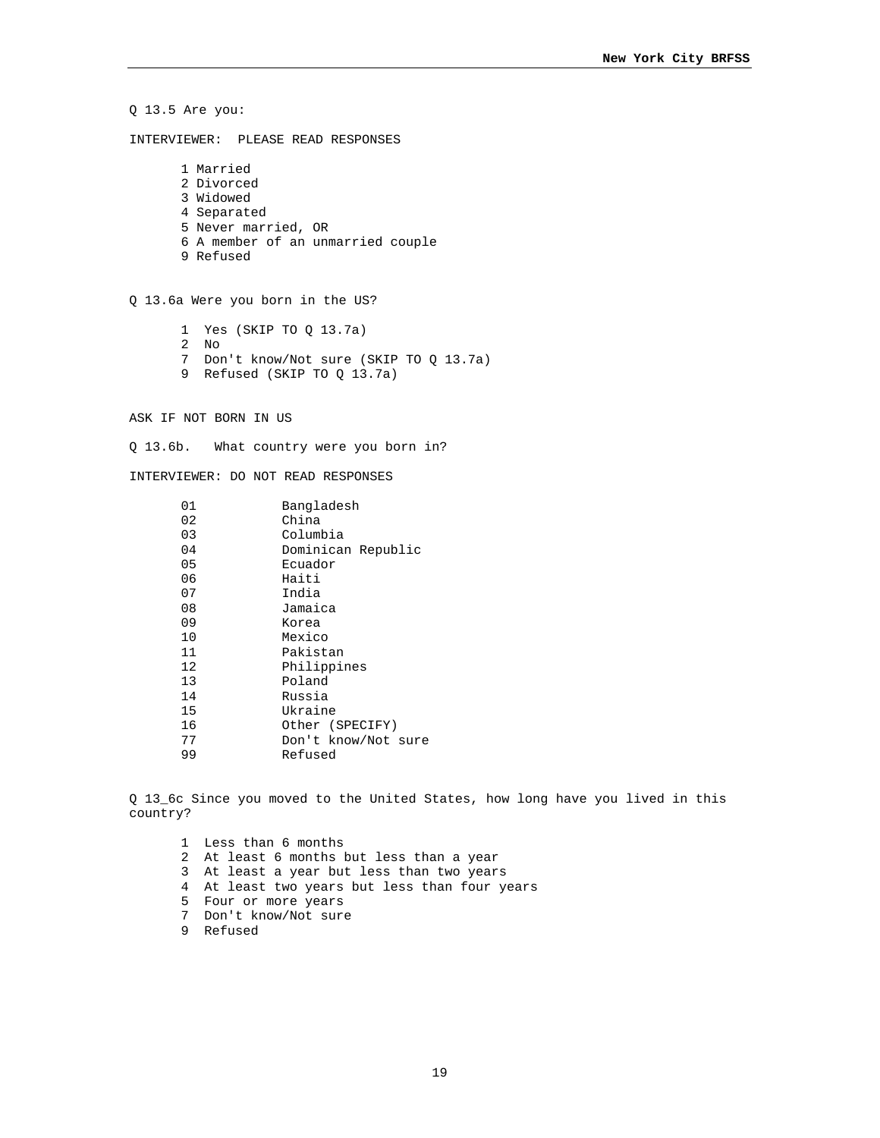Q 13.5 Are you: INTERVIEWER: PLEASE READ RESPONSES 1 Married 2 Divorced 3 Widowed 4 Separated 5 Never married, OR 6 A member of an unmarried couple 9 Refused Q 13.6a Were you born in the US? 1 Yes (SKIP TO Q 13.7a) 2 No 7 Don't know/Not sure (SKIP TO Q 13.7a) 9 Refused (SKIP TO Q 13.7a) ASK IF NOT BORN IN US Q 13.6b. What country were you born in? INTERVIEWER: DO NOT READ RESPONSES 01 Bangladesh<br>02 China China 03 Columbia 04 Dominican Republic 05 Ecuador 06 Haiti 07 India<br>08 Jamai 08 Jamaica<br>09 Korea 09 Korea<br>10 Mexic Mexico 11 Pakistan 12 Philippines 13 Poland<br>14 Russia 14 Russia<br>15 Ukrain 15 Ukraine<br>16 Other () 16 Other (SPECIFY)<br>77 Don't know/Not Don't know/Not sure 99 Refused

Q 13\_6c Since you moved to the United States, how long have you lived in this country?

1 Less than 6 months 2 At least 6 months but less than a year 3 At least a year but less than two years 4 At least two years but less than four years 5 Four or more years 7 Don't know/Not sure 9 Refused

19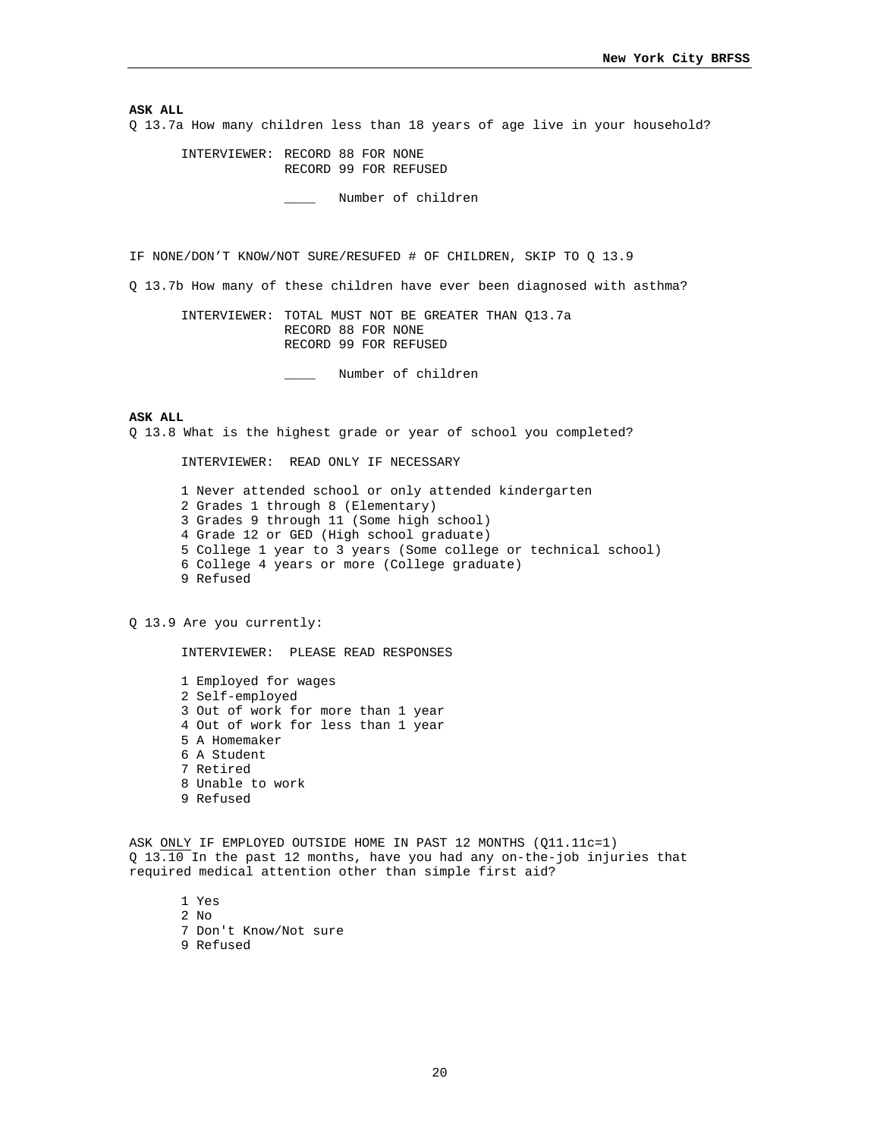**ASK ALL**  Q 13.7a How many children less than 18 years of age live in your household?

INTERVIEWER: RECORD 88 FOR NONE RECORD 99 FOR REFUSED

\_\_\_\_ Number of children

IF NONE/DON'T KNOW/NOT SURE/RESUFED # OF CHILDREN, SKIP TO Q 13.9

Q 13.7b How many of these children have ever been diagnosed with asthma?

INTERVIEWER: TOTAL MUST NOT BE GREATER THAN Q13.7a RECORD 88 FOR NONE RECORD 99 FOR REFUSED

\_\_\_\_ Number of children

## **ASK ALL**

Q 13.8 What is the highest grade or year of school you completed?

INTERVIEWER: READ ONLY IF NECESSARY

1 Never attended school or only attended kindergarten 2 Grades 1 through 8 (Elementary) 3 Grades 9 through 11 (Some high school) 4 Grade 12 or GED (High school graduate) 5 College 1 year to 3 years (Some college or technical school) 6 College 4 years or more (College graduate) 9 Refused

Q 13.9 Are you currently:

INTERVIEWER: PLEASE READ RESPONSES

1 Employed for wages 2 Self-employed 3 Out of work for more than 1 year 4 Out of work for less than 1 year 5 A Homemaker 6 A Student 7 Retired 8 Unable to work 9 Refused

ASK ONLY IF EMPLOYED OUTSIDE HOME IN PAST 12 MONTHS (Q11.11c=1) Q 13.10 In the past 12 months, have you had any on-the-job injuries that required medical attention other than simple first aid?

1 Yes 2 No 7 Don't Know/Not sure 9 Refused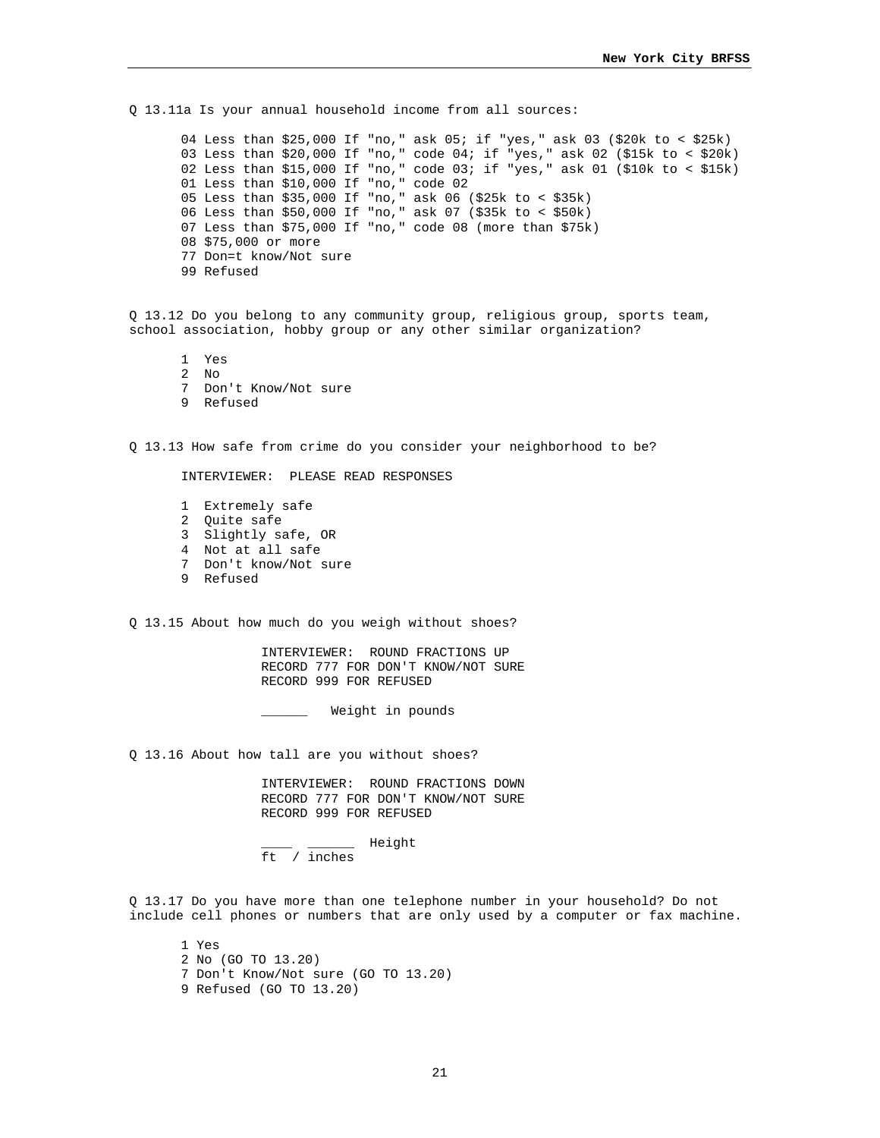Q 13.11a Is your annual household income from all sources:

04 Less than \$25,000 If "no," ask 05; if "yes," ask 03 (\$20k to < \$25k) 03 Less than \$20,000 If "no," code 04; if "yes," ask 02 (\$15k to < \$20k) 02 Less than \$15,000 If "no," code 03; if "yes," ask 01 (\$10k to < \$15k) 01 Less than \$10,000 If "no," code 02 05 Less than \$35,000 If "no," ask 06 (\$25k to < \$35k) 06 Less than \$50,000 If "no," ask 07 (\$35k to < \$50k) 07 Less than \$75,000 If "no," code 08 (more than \$75k) 08 \$75,000 or more 77 Don=t know/Not sure 99 Refused

Q 13.12 Do you belong to any community group, religious group, sports team, school association, hobby group or any other similar organization?

1 Yes 2 No 7 Don't Know/Not sure 9 Refused

Q 13.13 How safe from crime do you consider your neighborhood to be?

INTERVIEWER: PLEASE READ RESPONSES

- 1 Extremely safe
- 2 Quite safe
- 3 Slightly safe, OR
- 4 Not at all safe
- 7 Don't know/Not sure
- 9 Refused

Q 13.15 About how much do you weigh without shoes?

 INTERVIEWER: ROUND FRACTIONS UP RECORD 777 FOR DON'T KNOW/NOT SURE RECORD 999 FOR REFUSED

\_\_\_\_\_\_ Weight in pounds

Q 13.16 About how tall are you without shoes?

 INTERVIEWER: ROUND FRACTIONS DOWN RECORD 777 FOR DON'T KNOW/NOT SURE RECORD 999 FOR REFUSED

 \_\_\_\_ \_\_\_\_\_\_ Height  $ft / inches$ 

Q 13.17 Do you have more than one telephone number in your household? Do not include cell phones or numbers that are only used by a computer or fax machine.

1 Yes 2 No (GO TO 13.20) 7 Don't Know/Not sure (GO TO 13.20) 9 Refused (GO TO 13.20)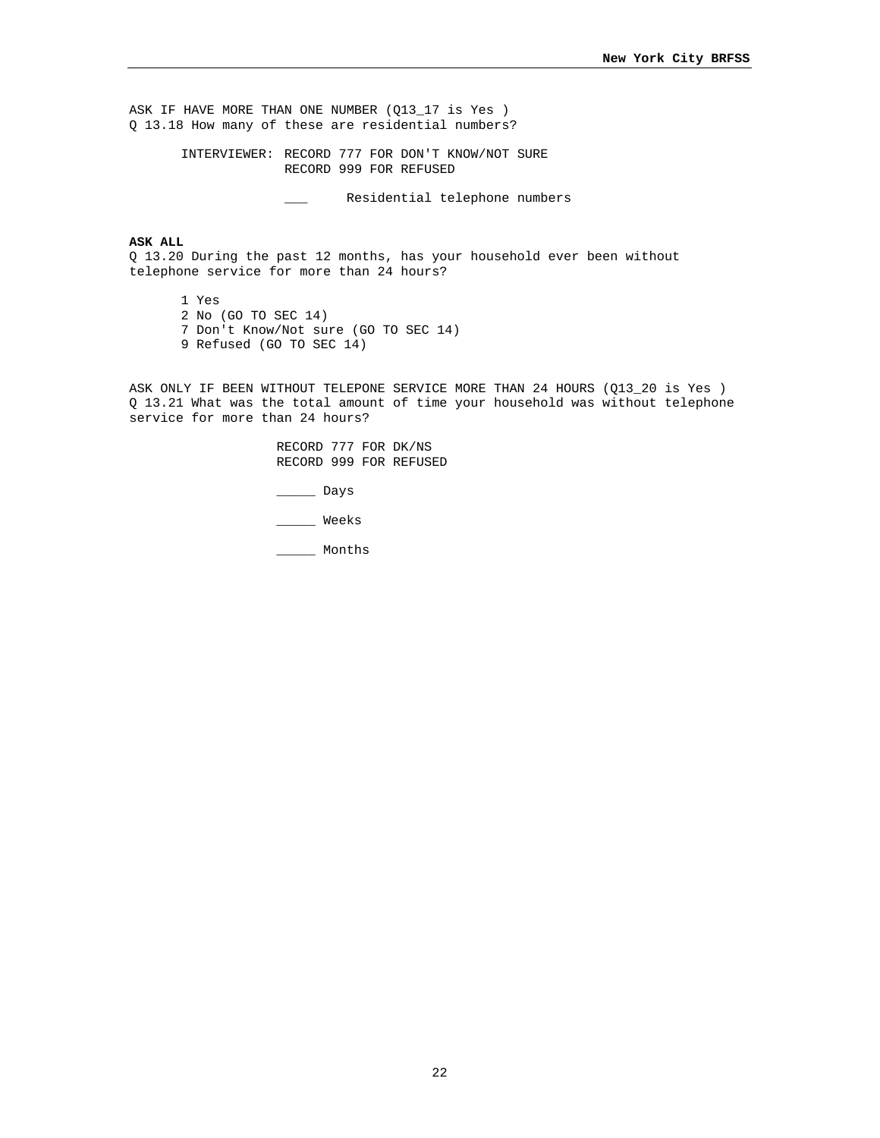ASK IF HAVE MORE THAN ONE NUMBER (Q13\_17 is Yes ) Q 13.18 How many of these are residential numbers?

> INTERVIEWER: RECORD 777 FOR DON'T KNOW/NOT SURE RECORD 999 FOR REFUSED

> > Residential telephone numbers

## **ASK ALL**

Q 13.20 During the past 12 months, has your household ever been without telephone service for more than 24 hours?

1 Yes

- 2 No (GO TO SEC 14)
- 7 Don't Know/Not sure (GO TO SEC 14)
- 9 Refused (GO TO SEC 14)

ASK ONLY IF BEEN WITHOUT TELEPONE SERVICE MORE THAN 24 HOURS (Q13\_20 is Yes ) Q 13.21 What was the total amount of time your household was without telephone service for more than 24 hours?

> RECORD 777 FOR DK/NS RECORD 999 FOR REFUSED \_\_\_\_\_ Days

\_\_\_\_\_ Weeks

\_\_\_\_\_ Months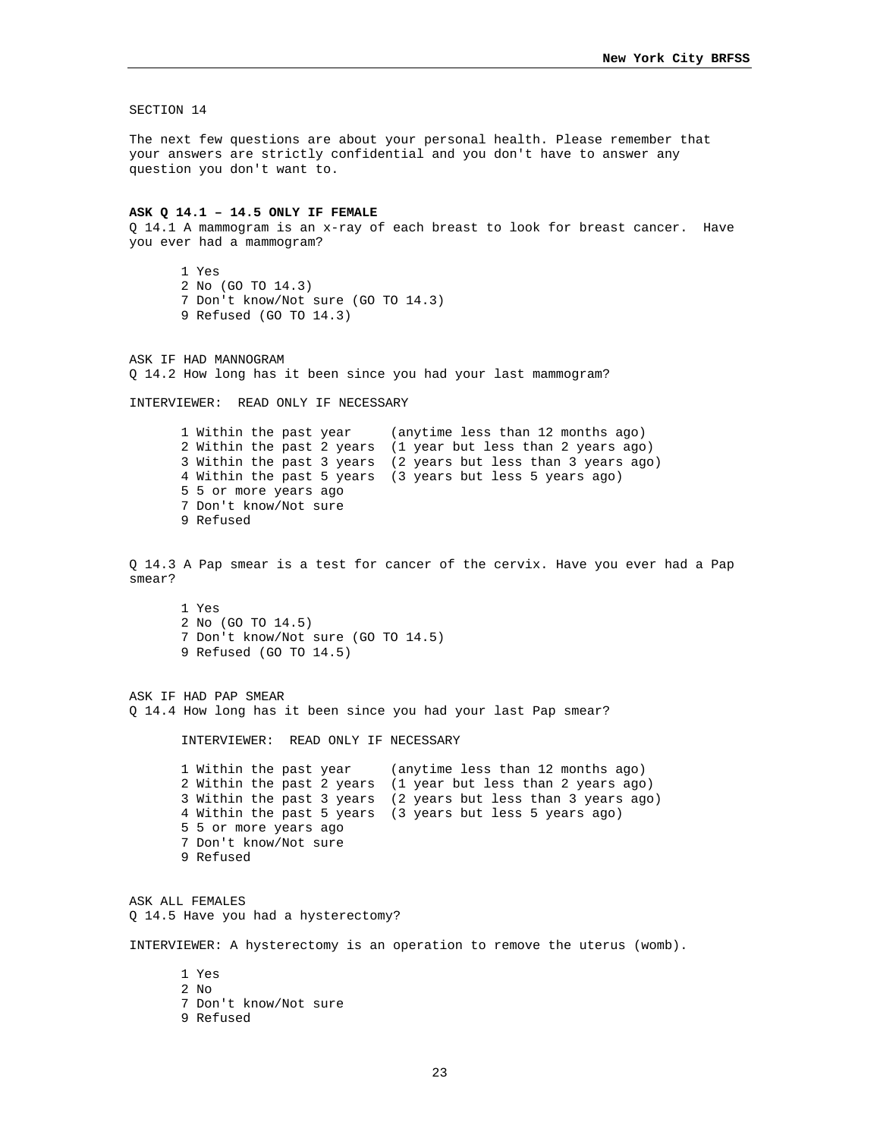```
SECTION 14
```
The next few questions are about your personal health. Please remember that your answers are strictly confidential and you don't have to answer any question you don't want to.

## **ASK Q 14.1 – 14.5 ONLY IF FEMALE**

Q 14.1 A mammogram is an x-ray of each breast to look for breast cancer. Have you ever had a mammogram?

1 Yes 2 No (GO TO 14.3) 7 Don't know/Not sure (GO TO 14.3) 9 Refused (GO TO 14.3)

ASK IF HAD MANNOGRAM Q 14.2 How long has it been since you had your last mammogram?

INTERVIEWER: READ ONLY IF NECESSARY

```
1 Within the past year (anytime less than 12 months ago) 
2 Within the past 2 years (1 year but less than 2 years ago) 
3 Within the past 3 years (2 years but less than 3 years ago) 
4 Within the past 5 years (3 years but less 5 years ago) 
5 5 or more years ago 
7 Don't know/Not sure 
9 Refused
```
Q 14.3 A Pap smear is a test for cancer of the cervix. Have you ever had a Pap smear?

1 Yes 2 No (GO TO 14.5) 7 Don't know/Not sure (GO TO 14.5) 9 Refused (GO TO 14.5)

ASK IF HAD PAP SMEAR Q 14.4 How long has it been since you had your last Pap smear?

INTERVIEWER: READ ONLY IF NECESSARY

1 Within the past year (anytime less than 12 months ago) 2 Within the past 2 years (1 year but less than 2 years ago) 3 Within the past 3 years (2 years but less than 3 years ago) 4 Within the past 5 years (3 years but less 5 years ago) 5 5 or more years ago 7 Don't know/Not sure 9 Refused

ASK ALL FEMALES Q 14.5 Have you had a hysterectomy?

INTERVIEWER: A hysterectomy is an operation to remove the uterus (womb).

1 Yes 2 No 7 Don't know/Not sure 9 Refused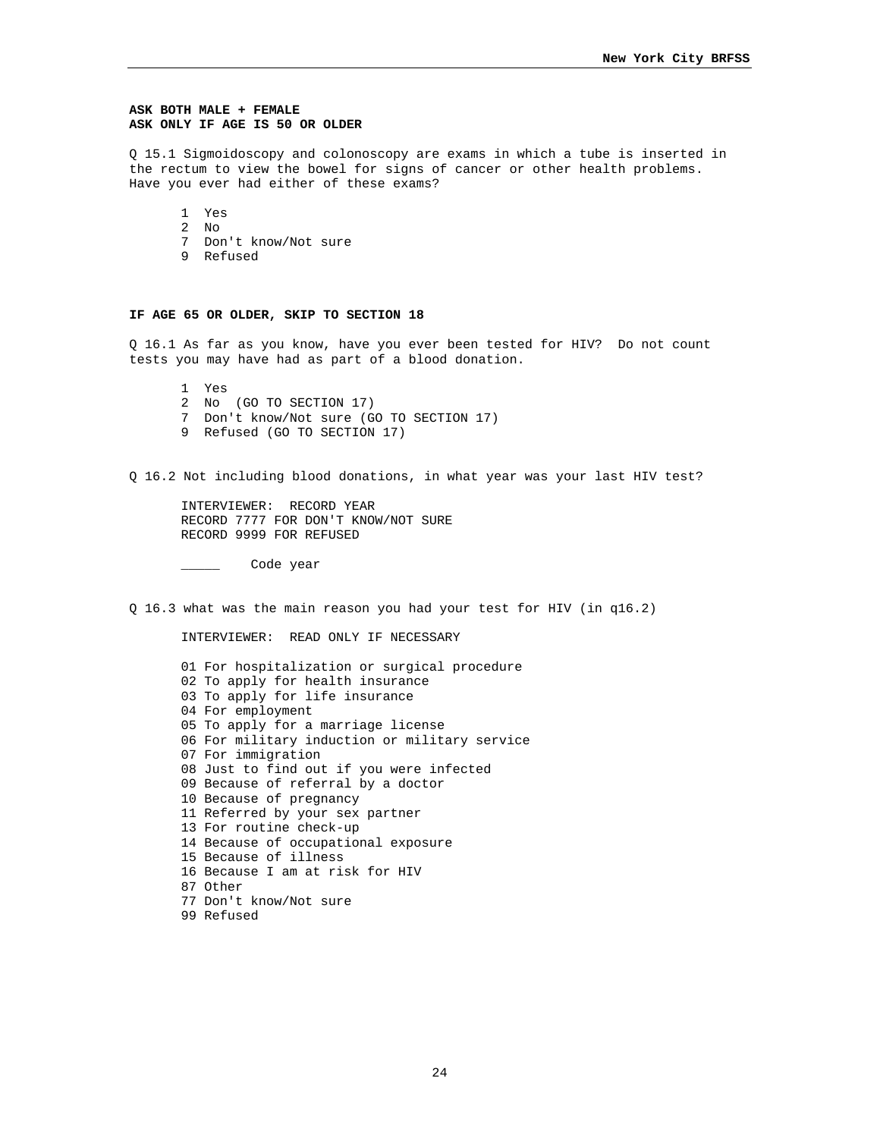## **ASK BOTH MALE + FEMALE ASK ONLY IF AGE IS 50 OR OLDER**

Q 15.1 Sigmoidoscopy and colonoscopy are exams in which a tube is inserted in the rectum to view the bowel for signs of cancer or other health problems. Have you ever had either of these exams?

1 Yes 2 No

- 7 Don't know/Not sure
- 9 Refused

## **IF AGE 65 OR OLDER, SKIP TO SECTION 18**

Q 16.1 As far as you know, have you ever been tested for HIV? Do not count tests you may have had as part of a blood donation.

1 Yes 2 No (GO TO SECTION 17) 7 Don't know/Not sure (GO TO SECTION 17) 9 Refused (GO TO SECTION 17)

Q 16.2 Not including blood donations, in what year was your last HIV test?

INTERVIEWER: RECORD YEAR RECORD 7777 FOR DON'T KNOW/NOT SURE RECORD 9999 FOR REFUSED

Code year

Q 16.3 what was the main reason you had your test for HIV (in q16.2)

INTERVIEWER: READ ONLY IF NECESSARY

01 For hospitalization or surgical procedure 02 To apply for health insurance 03 To apply for life insurance 04 For employment 05 To apply for a marriage license 06 For military induction or military service 07 For immigration 08 Just to find out if you were infected 09 Because of referral by a doctor 10 Because of pregnancy 11 Referred by your sex partner 13 For routine check-up 14 Because of occupational exposure 15 Because of illness 16 Because I am at risk for HIV 87 Other 77 Don't know/Not sure 99 Refused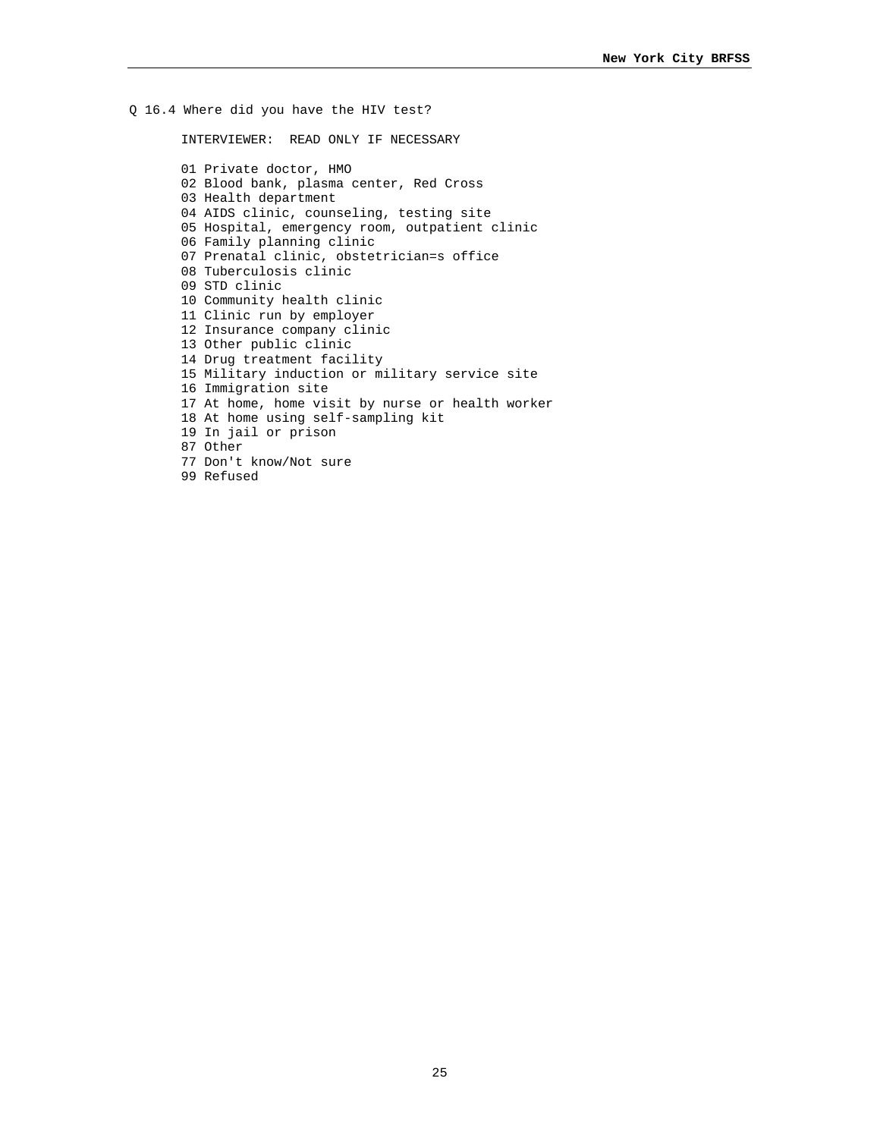Q 16.4 Where did you have the HIV test?

INTERVIEWER: READ ONLY IF NECESSARY

01 Private doctor, HMO 02 Blood bank, plasma center, Red Cross 03 Health department 04 AIDS clinic, counseling, testing site 05 Hospital, emergency room, outpatient clinic 06 Family planning clinic 07 Prenatal clinic, obstetrician=s office 08 Tuberculosis clinic 09 STD clinic 10 Community health clinic 11 Clinic run by employer 12 Insurance company clinic 13 Other public clinic 14 Drug treatment facility 15 Military induction or military service site 16 Immigration site 17 At home, home visit by nurse or health worker 18 At home using self-sampling kit 19 In jail or prison 87 Other 77 Don't know/Not sure 99 Refused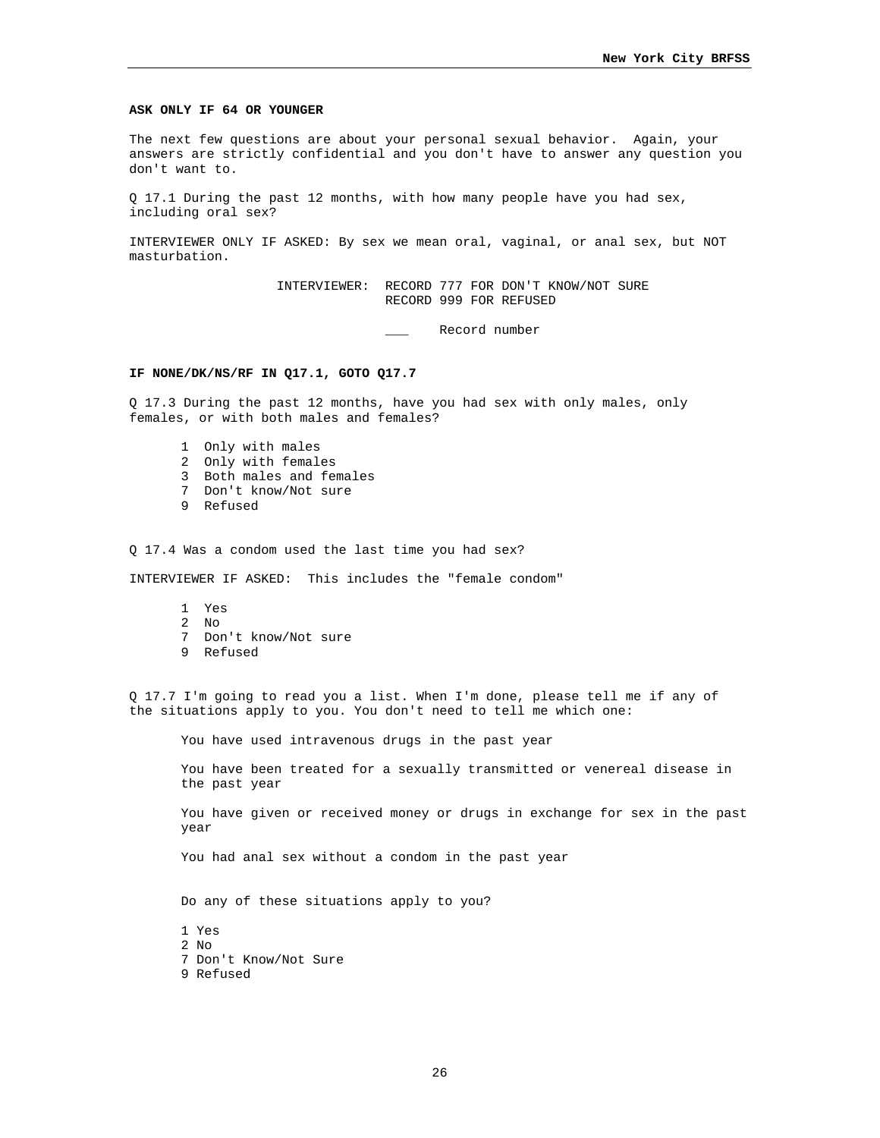## **ASK ONLY IF 64 OR YOUNGER**

The next few questions are about your personal sexual behavior. Again, your answers are strictly confidential and you don't have to answer any question you don't want to.

Q 17.1 During the past 12 months, with how many people have you had sex, including oral sex?

INTERVIEWER ONLY IF ASKED: By sex we mean oral, vaginal, or anal sex, but NOT masturbation.

> INTERVIEWER: RECORD 777 FOR DON'T KNOW/NOT SURE RECORD 999 FOR REFUSED

> > \_\_\_ Record number

#### **IF NONE/DK/NS/RF IN Q17.1, GOTO Q17.7**

Q 17.3 During the past 12 months, have you had sex with only males, only females, or with both males and females?

- 1 Only with males
- 2 Only with females
- 3 Both males and females
- 7 Don't know/Not sure
- 9 Refused

Q 17.4 Was a condom used the last time you had sex?

INTERVIEWER IF ASKED: This includes the "female condom"

- 1 Yes
- $\frac{2}{7}$  No
- Don't know/Not sure
- 9 Refused

Q 17.7 I'm going to read you a list. When I'm done, please tell me if any of the situations apply to you. You don't need to tell me which one:

You have used intravenous drugs in the past year

You have been treated for a sexually transmitted or venereal disease in the past year

You have given or received money or drugs in exchange for sex in the past year

You had anal sex without a condom in the past year

Do any of these situations apply to you?

1 Yes 2 No 7 Don't Know/Not Sure 9 Refused